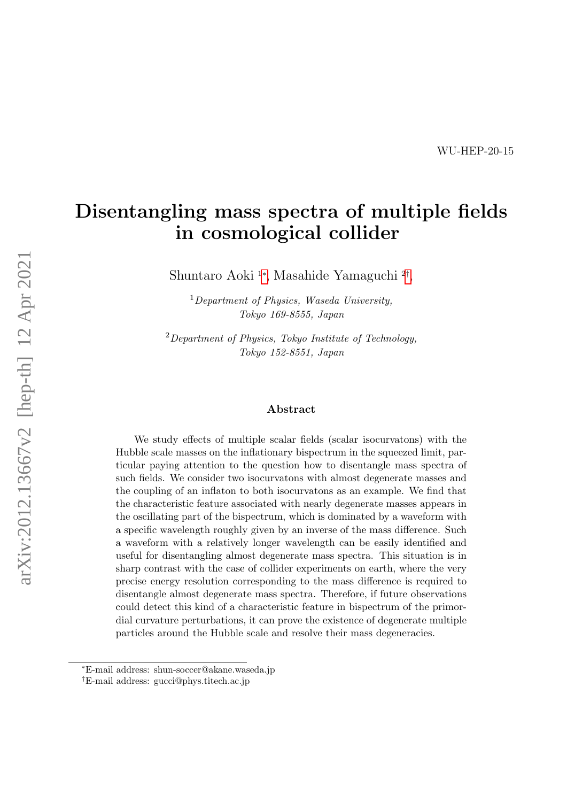# Disentangling mass spectra of multiple fields in cosmological collider

Shuntaro Aoki <sup>1</sup>[∗](#page-0-0) , Masahide Yamaguchi <sup>2</sup>[†](#page-0-1) ,

<sup>1</sup>Department of Physics, Waseda University, Tokyo 169-8555, Japan

 $2$ Department of Physics, Tokyo Institute of Technology, Tokyo 152-8551, Japan

#### Abstract

We study effects of multiple scalar fields (scalar isocurvatons) with the Hubble scale masses on the inflationary bispectrum in the squeezed limit, particular paying attention to the question how to disentangle mass spectra of such fields. We consider two isocurvatons with almost degenerate masses and the coupling of an inflaton to both isocurvatons as an example. We find that the characteristic feature associated with nearly degenerate masses appears in the oscillating part of the bispectrum, which is dominated by a waveform with a specific wavelength roughly given by an inverse of the mass difference. Such a waveform with a relatively longer wavelength can be easily identified and useful for disentangling almost degenerate mass spectra. This situation is in sharp contrast with the case of collider experiments on earth, where the very precise energy resolution corresponding to the mass difference is required to disentangle almost degenerate mass spectra. Therefore, if future observations could detect this kind of a characteristic feature in bispectrum of the primordial curvature perturbations, it can prove the existence of degenerate multiple particles around the Hubble scale and resolve their mass degeneracies.

<span id="page-0-0"></span><sup>∗</sup>E-mail address: shun-soccer@akane.waseda.jp

<span id="page-0-1"></span><sup>†</sup>E-mail address: gucci@phys.titech.ac.jp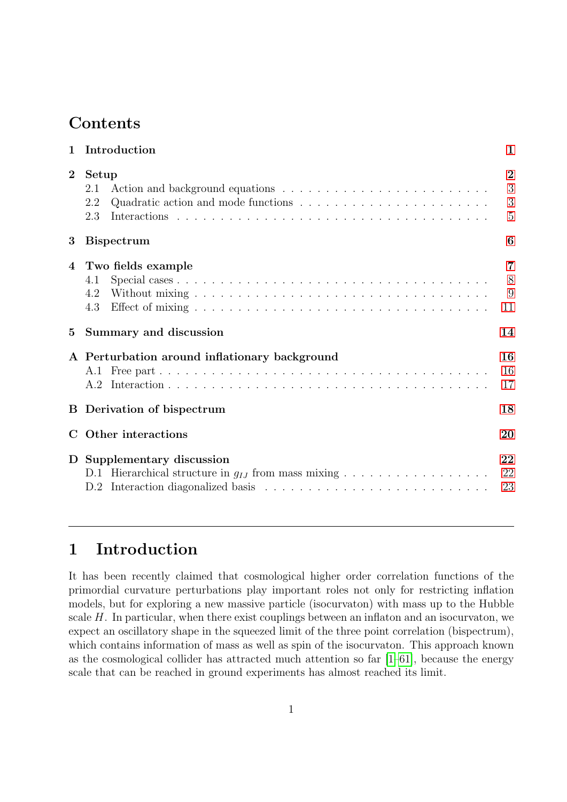## **Contents**

| $\overline{2}$<br>Setup<br>2.1<br>2.2<br>2.3<br>3<br><b>Bispectrum</b><br>Two fields example<br>4<br>4.1<br>4.2<br>4.3<br>$5\overline{)}$<br>Summary and discussion<br>A Perturbation around inflationary background<br><b>B</b> Derivation of bispectrum<br>C Other interactions<br>D Supplementary discussion<br>D.2 | $\mathbf{1}$ | Introduction                                                                          | $\mathbf{1}$                               |
|------------------------------------------------------------------------------------------------------------------------------------------------------------------------------------------------------------------------------------------------------------------------------------------------------------------------|--------------|---------------------------------------------------------------------------------------|--------------------------------------------|
|                                                                                                                                                                                                                                                                                                                        |              | Quadratic action and mode functions $\dots \dots \dots \dots \dots \dots \dots \dots$ | $\overline{2}$<br>3<br>3<br>$\overline{5}$ |
|                                                                                                                                                                                                                                                                                                                        |              |                                                                                       | 6                                          |
|                                                                                                                                                                                                                                                                                                                        |              |                                                                                       | 7<br>8<br>9<br>11                          |
|                                                                                                                                                                                                                                                                                                                        |              |                                                                                       | 14                                         |
|                                                                                                                                                                                                                                                                                                                        |              |                                                                                       | 16<br>16<br>17                             |
|                                                                                                                                                                                                                                                                                                                        |              |                                                                                       | 18                                         |
|                                                                                                                                                                                                                                                                                                                        |              |                                                                                       | 20                                         |
|                                                                                                                                                                                                                                                                                                                        |              | D.1 Hierarchical structure in $q_{IJ}$ from mass mixing                               | 22<br>22<br>23                             |

# <span id="page-1-0"></span>1 Introduction

It has been recently claimed that cosmological higher order correlation functions of the primordial curvature perturbations play important roles not only for restricting inflation models, but for exploring a new massive particle (isocurvaton) with mass up to the Hubble scale H. In particular, when there exist couplings between an inflaton and an isocurvaton, we expect an oscillatory shape in the squeezed limit of the three point correlation (bispectrum), which contains information of mass as well as spin of the isocurvaton. This approach known as the cosmological collider has attracted much attention so far [\[1–](#page-24-0)[61\]](#page-29-0), because the energy scale that can be reached in ground experiments has almost reached its limit.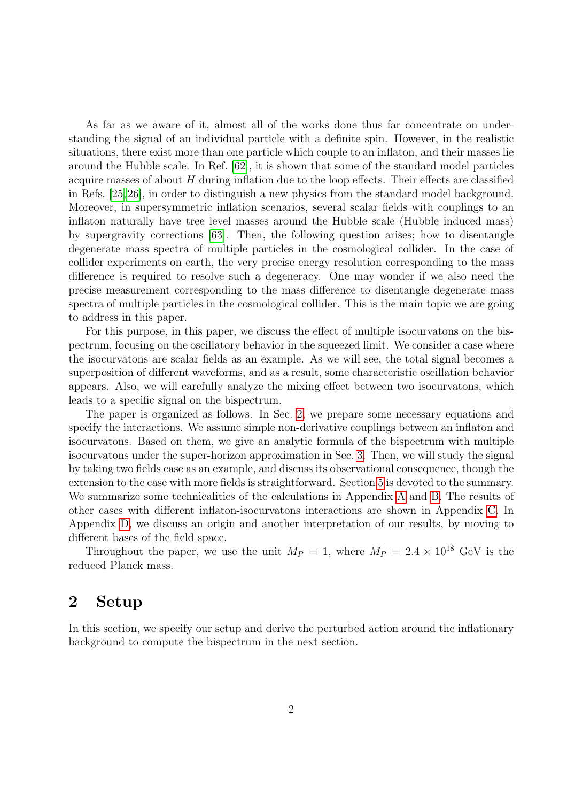As far as we aware of it, almost all of the works done thus far concentrate on understanding the signal of an individual particle with a definite spin. However, in the realistic situations, there exist more than one particle which couple to an inflaton, and their masses lie around the Hubble scale. In Ref. [\[62\]](#page-29-1), it is shown that some of the standard model particles acquire masses of about  $H$  during inflation due to the loop effects. Their effects are classified in Refs. [\[25,](#page-26-0)[26\]](#page-26-1), in order to distinguish a new physics from the standard model background. Moreover, in supersymmetric inflation scenarios, several scalar fields with couplings to an inflaton naturally have tree level masses around the Hubble scale (Hubble induced mass) by supergravity corrections [\[63\]](#page-29-2). Then, the following question arises; how to disentangle degenerate mass spectra of multiple particles in the cosmological collider. In the case of collider experiments on earth, the very precise energy resolution corresponding to the mass difference is required to resolve such a degeneracy. One may wonder if we also need the precise measurement corresponding to the mass difference to disentangle degenerate mass spectra of multiple particles in the cosmological collider. This is the main topic we are going to address in this paper.

For this purpose, in this paper, we discuss the effect of multiple isocurvatons on the bispectrum, focusing on the oscillatory behavior in the squeezed limit. We consider a case where the isocurvatons are scalar fields as an example. As we will see, the total signal becomes a superposition of different waveforms, and as a result, some characteristic oscillation behavior appears. Also, we will carefully analyze the mixing effect between two isocurvatons, which leads to a specific signal on the bispectrum.

The paper is organized as follows. In Sec. [2,](#page-2-0) we prepare some necessary equations and specify the interactions. We assume simple non-derivative couplings between an inflaton and isocurvatons. Based on them, we give an analytic formula of the bispectrum with multiple isocurvatons under the super-horizon approximation in Sec. [3.](#page-6-0) Then, we will study the signal by taking two fields case as an example, and discuss its observational consequence, though the extension to the case with more fields is straightforward. Section [5](#page-14-0) is devoted to the summary. We summarize some technicalities of the calculations in Appendix [A](#page-16-0) and [B.](#page-18-0) The results of other cases with different inflaton-isocurvatons interactions are shown in Appendix [C.](#page-20-0) In Appendix [D,](#page-22-0) we discuss an origin and another interpretation of our results, by moving to different bases of the field space.

Throughout the paper, we use the unit  $M_P = 1$ , where  $M_P = 2.4 \times 10^{18}$  GeV is the reduced Planck mass.

## <span id="page-2-0"></span>2 Setup

In this section, we specify our setup and derive the perturbed action around the inflationary background to compute the bispectrum in the next section.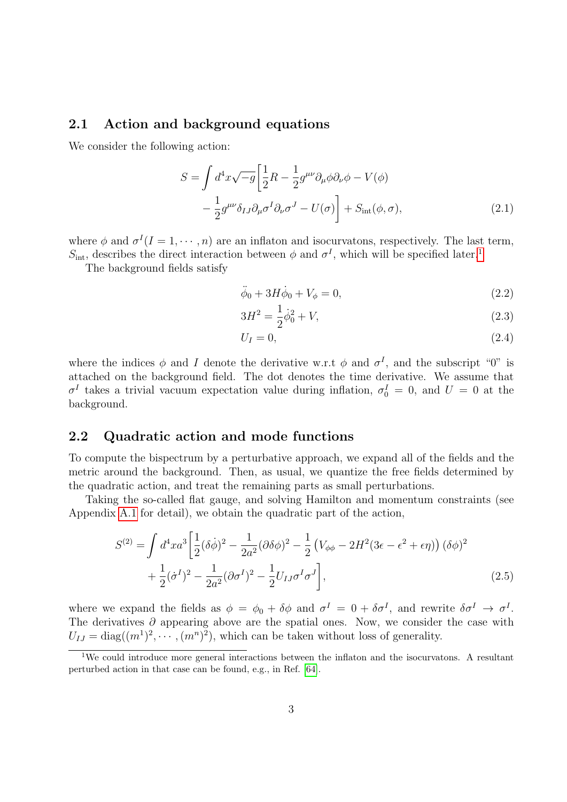#### <span id="page-3-0"></span>2.1 Action and background equations

We consider the following action:

$$
S = \int d^4x \sqrt{-g} \left[ \frac{1}{2} R - \frac{1}{2} g^{\mu\nu} \partial_\mu \phi \partial_\nu \phi - V(\phi) - \frac{1}{2} g^{\mu\nu} \delta_{IJ} \partial_\mu \sigma^I \partial_\nu \sigma^J - U(\sigma) \right] + S_{\rm int}(\phi, \sigma), \tag{2.1}
$$

where  $\phi$  and  $\sigma^I(I=1,\cdots,n)$  are an inflaton and isocurvatons, respectively. The last term,  $S_{\text{int}}$ , describes the direct interaction between  $\phi$  and  $\sigma^I$ , which will be specified later.<sup>[1](#page-3-2)</sup>

The background fields satisfy

<span id="page-3-4"></span>
$$
\ddot{\phi}_0 + 3H\dot{\phi}_0 + V_{\phi} = 0,\tag{2.2}
$$

$$
3H^2 = \frac{1}{2}\dot{\phi}_0^2 + V,\tag{2.3}
$$

<span id="page-3-3"></span>
$$
U_I = 0,\t\t(2.4)
$$

where the indices  $\phi$  and I denote the derivative w.r.t  $\phi$  and  $\sigma^I$ , and the subscript "0" is attached on the background field. The dot denotes the time derivative. We assume that  $\sigma^I$  takes a trivial vacuum expectation value during inflation,  $\sigma_0^I = 0$ , and  $U = 0$  at the background.

#### <span id="page-3-1"></span>2.2 Quadratic action and mode functions

To compute the bispectrum by a perturbative approach, we expand all of the fields and the metric around the background. Then, as usual, we quantize the free fields determined by the quadratic action, and treat the remaining parts as small perturbations.

Taking the so-called flat gauge, and solving Hamilton and momentum constraints (see Appendix [A.1](#page-16-1) for detail), we obtain the quadratic part of the action,

$$
S^{(2)} = \int d^4x a^3 \left[ \frac{1}{2} (\delta \dot{\phi})^2 - \frac{1}{2a^2} (\partial \delta \phi)^2 - \frac{1}{2} \left( V_{\phi\phi} - 2H^2 (3\epsilon - \epsilon^2 + \epsilon \eta) \right) (\delta \phi)^2 + \frac{1}{2} (\dot{\sigma}^I)^2 - \frac{1}{2a^2} (\partial \sigma^I)^2 - \frac{1}{2} U_{IJ} \sigma^I \sigma^J \right],
$$
\n(2.5)

where we expand the fields as  $\phi = \phi_0 + \delta \phi$  and  $\sigma^I = 0 + \delta \sigma^I$ , and rewrite  $\delta \sigma^I \to \sigma^I$ . The derivatives  $\partial$  appearing above are the spatial ones. Now, we consider the case with  $U_{IJ} = \text{diag}((m^1)^2, \cdots, (m^n)^2)$ , which can be taken without loss of generality.

<span id="page-3-2"></span><sup>&</sup>lt;sup>1</sup>We could introduce more general interactions between the inflaton and the isocurvatons. A resultant perturbed action in that case can be found, e.g., in Ref. [\[64\]](#page-29-3).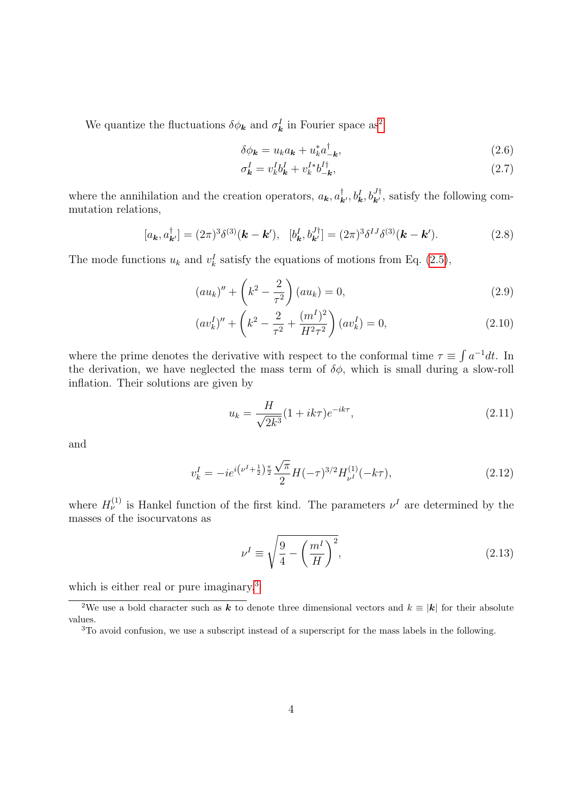We quantize the fluctuations  $\delta \phi_{\mathbf{k}}$  and  $\sigma_{\mathbf{k}}^{I}$  in Fourier space as<sup>[2](#page-4-0)</sup>

$$
\delta \phi_{\mathbf{k}} = u_{k} a_{\mathbf{k}} + u_{k}^{*} a_{-\mathbf{k}}^{\dagger}, \qquad (2.6)
$$

$$
\sigma_{\mathbf{k}}^I = v_k^I b_{\mathbf{k}}^I + v_k^{I*} b_{-\mathbf{k}}^{I\dagger},\tag{2.7}
$$

where the annihilation and the creation operators,  $a_k, a_{k'}^{\dagger}, b_k^I, b_{k'}^{J\dagger}$ , satisfy the following commutation relations,

$$
[a_{\mathbf{k}}, a_{\mathbf{k}'}^{\dagger}] = (2\pi)^3 \delta^{(3)}(\mathbf{k} - \mathbf{k}'), \quad [b_{\mathbf{k}}^I, b_{\mathbf{k}'}^{J\dagger}] = (2\pi)^3 \delta^{IJ} \delta^{(3)}(\mathbf{k} - \mathbf{k}'). \tag{2.8}
$$

The mode functions  $u_k$  and  $v_k^I$  satisfy the equations of motions from Eq. [\(2.5\)](#page-3-3),

$$
(au_k)'' + \left(k^2 - \frac{2}{\tau^2}\right)(au_k) = 0,
$$
\n(2.9)

$$
(av_k^I)'' + \left(k^2 - \frac{2}{\tau^2} + \frac{(m^I)^2}{H^2 \tau^2}\right)(av_k^I) = 0,
$$
\n(2.10)

where the prime denotes the derivative with respect to the conformal time  $\tau \equiv \int a^{-1}dt$ . In the derivation, we have neglected the mass term of  $\delta\phi$ , which is small during a slow-roll inflation. Their solutions are given by

$$
u_k = \frac{H}{\sqrt{2k^3}} (1 + ik\tau) e^{-ik\tau},
$$
\n(2.11)

and

$$
v_k^I = -ie^{i(\nu^I + \frac{1}{2})\frac{\pi}{2}} \frac{\sqrt{\pi}}{2} H(-\tau)^{3/2} H_{\nu^I}^{(1)}(-k\tau), \tag{2.12}
$$

where  $H_{\nu}^{(1)}$  is Hankel function of the first kind. The parameters  $\nu^{I}$  are determined by the masses of the isocurvatons as

$$
\nu^I \equiv \sqrt{\frac{9}{4} - \left(\frac{m^I}{H}\right)^2},\tag{2.13}
$$

which is either real or pure imaginary.<sup>[3](#page-4-1)</sup>

<span id="page-4-0"></span><sup>&</sup>lt;sup>2</sup>We use a bold character such as **k** to denote three dimensional vectors and  $k \equiv |\mathbf{k}|$  for their absolute values.

<span id="page-4-1"></span><sup>3</sup>To avoid confusion, we use a subscript instead of a superscript for the mass labels in the following.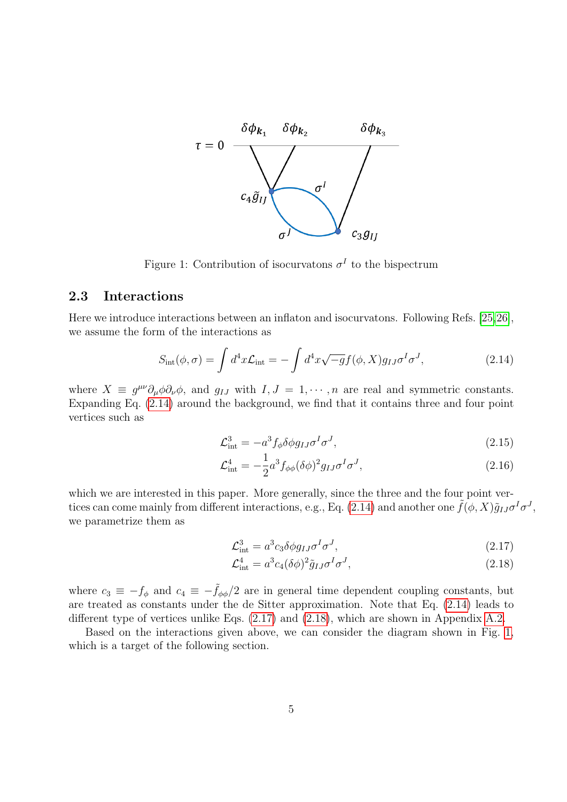

<span id="page-5-4"></span>Figure 1: Contribution of isocurvatons  $\sigma^I$  to the bispectrum

#### <span id="page-5-0"></span>2.3 Interactions

Here we introduce interactions between an inflaton and isocurvatons. Following Refs. [\[25,](#page-26-0)[26\]](#page-26-1), we assume the form of the interactions as

$$
S_{\rm int}(\phi,\sigma) = \int d^4x \mathcal{L}_{\rm int} = -\int d^4x \sqrt{-g} f(\phi, X) g_{IJ} \sigma^I \sigma^J, \qquad (2.14)
$$

where  $X \equiv g^{\mu\nu}\partial_{\mu}\phi\partial_{\nu}\phi$ , and  $g_{IJ}$  with  $I, J = 1, \dots, n$  are real and symmetric constants. Expanding Eq. [\(2.14\)](#page-5-1) around the background, we find that it contains three and four point vertices such as

<span id="page-5-1"></span>
$$
\mathcal{L}_{\text{int}}^3 = -a^3 f_\phi \delta \phi g_{IJ} \sigma^I \sigma^J,\tag{2.15}
$$

$$
\mathcal{L}_{\text{int}}^4 = -\frac{1}{2}a^3 f_{\phi\phi} (\delta\phi)^2 g_{IJ} \sigma^I \sigma^J,\tag{2.16}
$$

which we are interested in this paper. More generally, since the three and the four point ver-tices can come mainly from different interactions, e.g., Eq. [\(2.14\)](#page-5-1) and another one  $\tilde{f}(\phi, X)\tilde{g}_{IJ}\sigma^I\sigma^J$ , we parametrize them as

<span id="page-5-2"></span>
$$
\mathcal{L}_{\text{int}}^3 = a^3 c_3 \delta \phi g_{IJ} \sigma^I \sigma^J,\tag{2.17}
$$

<span id="page-5-3"></span>
$$
\mathcal{L}^4_{\text{int}} = a^3 c_4 (\delta \phi)^2 \tilde{g}_{IJ} \sigma^I \sigma^J,\tag{2.18}
$$

where  $c_3 \equiv -f_\phi$  and  $c_4 \equiv -\tilde{f}_{\phi\phi}/2$  are in general time dependent coupling constants, but are treated as constants under the de Sitter approximation. Note that Eq. [\(2.14\)](#page-5-1) leads to different type of vertices unlike Eqs. [\(2.17\)](#page-5-2) and [\(2.18\)](#page-5-3), which are shown in Appendix [A.2.](#page-17-0)

Based on the interactions given above, we can consider the diagram shown in Fig. [1,](#page-5-4) which is a target of the following section.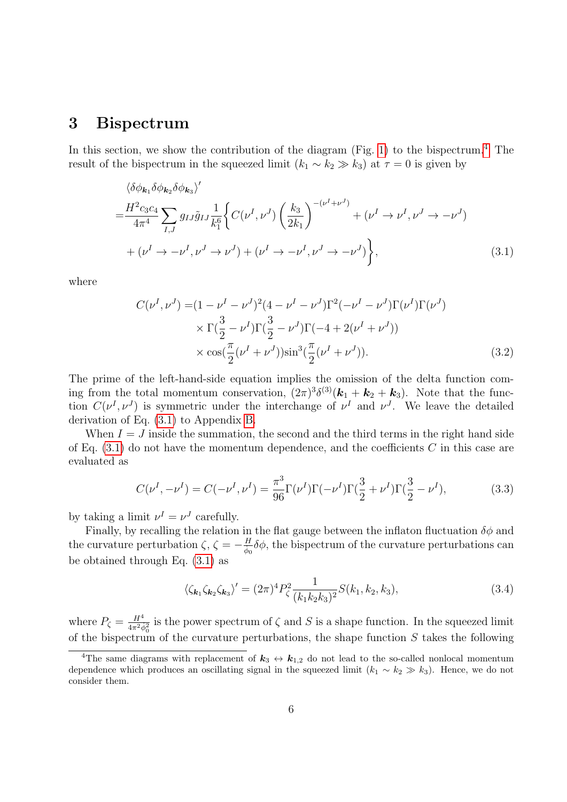### <span id="page-6-0"></span>3 Bispectrum

In this section, we show the contribution of the diagram (Fig. [1\)](#page-5-4) to the bispectrum.<sup>[4](#page-6-1)</sup> The result of the bispectrum in the squeezed limit  $(k_1 \sim k_2 \gg k_3)$  at  $\tau = 0$  is given by

$$
\langle \delta \phi_{\mathbf{k}_1} \delta \phi_{\mathbf{k}_2} \delta \phi_{\mathbf{k}_3} \rangle'
$$
  
=  $\frac{H^2 c_3 c_4}{4\pi^4} \sum_{I,J} g_{IJ} \tilde{g}_{IJ} \frac{1}{k_1^6} \Biggl\{ C(\nu^I, \nu^J) \left( \frac{k_3}{2k_1} \right)^{-(\nu^I + \nu^J)} + (\nu^I \to \nu^I, \nu^J \to -\nu^J) + (\nu^I \to -\nu^I, \nu^J \to -\nu^J) \Biggr\},$  (3.1)

where

<span id="page-6-2"></span>
$$
C(\nu^{I}, \nu^{J}) = (1 - \nu^{I} - \nu^{J})^{2} (4 - \nu^{I} - \nu^{J}) \Gamma^{2} (-\nu^{I} - \nu^{J}) \Gamma (\nu^{I}) \Gamma (\nu^{J})
$$
  
 
$$
\times \Gamma(\frac{3}{2} - \nu^{I}) \Gamma(\frac{3}{2} - \nu^{J}) \Gamma(-4 + 2(\nu^{I} + \nu^{J}))
$$
  
 
$$
\times \cos(\frac{\pi}{2} (\nu^{I} + \nu^{J})) \sin^{3}(\frac{\pi}{2} (\nu^{I} + \nu^{J})). \tag{3.2}
$$

The prime of the left-hand-side equation implies the omission of the delta function coming from the total momentum conservation,  $(2\pi)^3 \delta^{(3)}(\mathbf{k}_1 + \mathbf{k}_2 + \mathbf{k}_3)$ . Note that the function  $C(\nu^I, \nu^J)$  is symmetric under the interchange of  $\nu^I$  and  $\nu^J$ . We leave the detailed derivation of Eq. [\(3.1\)](#page-6-2) to Appendix [B.](#page-18-0)

When  $I = J$  inside the summation, the second and the third terms in the right hand side of Eq.  $(3.1)$  do not have the momentum dependence, and the coefficients C in this case are evaluated as

$$
C(\nu^I, -\nu^I) = C(-\nu^I, \nu^I) = \frac{\pi^3}{96} \Gamma(\nu^I) \Gamma(-\nu^I) \Gamma(\frac{3}{2} + \nu^I) \Gamma(\frac{3}{2} - \nu^I),
$$
\n(3.3)

by taking a limit  $\nu^I = \nu^J$  carefully.

Finally, by recalling the relation in the flat gauge between the inflaton fluctuation  $\delta\phi$  and the curvature perturbation  $\zeta$ ,  $\zeta = -\frac{H}{\dot{\phi}_0}\delta\phi$ , the bispectrum of the curvature perturbations can be obtained through Eq. [\(3.1\)](#page-6-2) as

$$
\langle \zeta_{\mathbf{k}_1} \zeta_{\mathbf{k}_2} \zeta_{\mathbf{k}_3} \rangle' = (2\pi)^4 P_\zeta^2 \frac{1}{(k_1 k_2 k_3)^2} S(k_1, k_2, k_3), \tag{3.4}
$$

where  $P_{\zeta} = \frac{H^4}{4\pi^2 \epsilon}$  $\frac{H^4}{4\pi^2\dot{\phi}_0^2}$  is the power spectrum of  $\zeta$  and  $S$  is a shape function. In the squeezed limit of the bispectrum of the curvature perturbations, the shape function  $S$  takes the following

<span id="page-6-1"></span><sup>&</sup>lt;sup>4</sup>The same diagrams with replacement of  $k_3 \leftrightarrow k_{1,2}$  do not lead to the so-called nonlocal momentum dependence which produces an oscillating signal in the squeezed limit  $(k_1 \sim k_2 \gg k_3)$ . Hence, we do not consider them.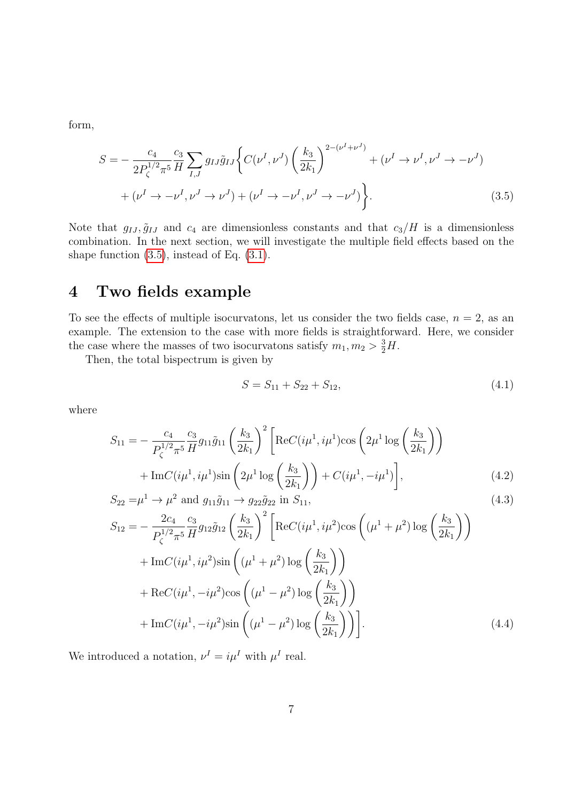form,

$$
S = -\frac{c_4}{2P_{\zeta}^{1/2}\pi^5} \frac{c_3}{H} \sum_{I,J} g_{IJ}\tilde{g}_{IJ} \left\{ C(\nu^I, \nu^J) \left( \frac{k_3}{2k_1} \right)^{2-(\nu^I + \nu^J)} + (\nu^I \to \nu^I, \nu^J \to -\nu^J) \right\} + (\nu^I \to -\nu^I, \nu^J \to \nu^J) + (\nu^I \to -\nu^I, \nu^J \to -\nu^J) \right\}.
$$
 (3.5)

Note that  $g_{IJ}, \tilde{g}_{IJ}$  and  $c_4$  are dimensionless constants and that  $c_3/H$  is a dimensionless combination. In the next section, we will investigate the multiple field effects based on the shape function [\(3.5\)](#page-7-1), instead of Eq. [\(3.1\)](#page-6-2).

# <span id="page-7-0"></span>4 Two fields example

To see the effects of multiple isocurvatons, let us consider the two fields case,  $n = 2$ , as an example. The extension to the case with more fields is straightforward. Here, we consider the case where the masses of two isocurvatons satisfy  $m_1, m_2 > \frac{3}{2}H$ .

Then, the total bispectrum is given by

<span id="page-7-4"></span><span id="page-7-3"></span><span id="page-7-2"></span><span id="page-7-1"></span>
$$
S = S_{11} + S_{22} + S_{12}, \t\t(4.1)
$$

where

$$
S_{11} = -\frac{c_4}{P_{\zeta}^{1/2} \pi^5} \frac{c_3}{H} g_{11} \tilde{g}_{11} \left(\frac{k_3}{2k_1}\right)^2 \left[ \text{Re} C(i\mu^1, i\mu^1) \cos\left(2\mu^1 \log\left(\frac{k_3}{2k_1}\right)\right) + \text{Im} C(i\mu^1, i\mu^1) \sin\left(2\mu^1 \log\left(\frac{k_3}{2k_1}\right)\right) + C(i\mu^1, -i\mu^1) \right],
$$
\n(4.2)

$$
S_{22} = \mu^1 \to \mu^2 \text{ and } g_{11}\tilde{g}_{11} \to g_{22}\tilde{g}_{22} \text{ in } S_{11},
$$
\n(4.3)

$$
S_{12} = -\frac{2c_4}{P_{\zeta}^{1/2} \pi^5} \frac{c_3}{H} g_{12} \tilde{g}_{12} \left(\frac{k_3}{2k_1}\right)^2 \left[ \text{Re} C(i\mu^1, i\mu^2) \cos\left((\mu^1 + \mu^2) \log\left(\frac{k_3}{2k_1}\right)\right) \right] + \text{Im} C(i\mu^1, i\mu^2) \sin\left((\mu^1 + \mu^2) \log\left(\frac{k_3}{2k_1}\right)\right) + \text{Re} C(i\mu^1, -i\mu^2) \cos\left((\mu^1 - \mu^2) \log\left(\frac{k_3}{2k_1}\right)\right) + \text{Im} C(i\mu^1, -i\mu^2) \sin\left((\mu^1 - \mu^2) \log\left(\frac{k_3}{2k_1}\right)\right) \right].
$$
 (4.4)

We introduced a notation,  $\nu^I = i\mu^I$  with  $\mu^I$  real.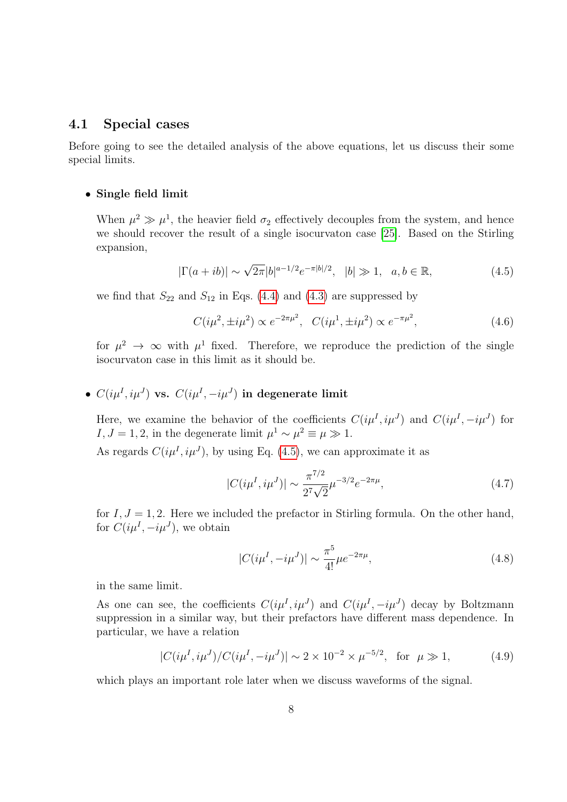#### <span id="page-8-0"></span>4.1 Special cases

Before going to see the detailed analysis of the above equations, let us discuss their some special limits.

#### • Single field limit

When  $\mu^2 \gg \mu^1$ , the heavier field  $\sigma_2$  effectively decouples from the system, and hence we should recover the result of a single isocurvaton case [\[25\]](#page-26-0). Based on the Stirling expansion,

$$
|\Gamma(a+ib)| \sim \sqrt{2\pi}|b|^{a-1/2}e^{-\pi|b|/2}, \quad |b| \gg 1, \quad a, b \in \mathbb{R},
$$
\n(4.5)

we find that  $S_{22}$  and  $S_{12}$  in Eqs. [\(4.4\)](#page-7-2) and [\(4.3\)](#page-7-3) are suppressed by

<span id="page-8-2"></span><span id="page-8-1"></span>
$$
C(i\mu^2, \pm i\mu^2) \propto e^{-2\pi\mu^2}, \quad C(i\mu^1, \pm i\mu^2) \propto e^{-\pi\mu^2}, \tag{4.6}
$$

for  $\mu^2 \to \infty$  with  $\mu^1$  fixed. Therefore, we reproduce the prediction of the single isocurvaton case in this limit as it should be.

### •  $C(i\mu^I,i\mu^J)$  vs.  $C(i\mu^I,-i\mu^J)$  in degenerate limit

Here, we examine the behavior of the coefficients  $C(i\mu^I, i\mu^J)$  and  $C(i\mu^I, -i\mu^J)$  for I,  $J = 1, 2$ , in the degenerate limit  $\mu^1 \sim \mu^2 \equiv \mu \gg 1$ .

As regards  $C(i\mu^I, i\mu^J)$ , by using Eq. [\(4.5\)](#page-8-1), we can approximate it as

$$
|C(i\mu^I, i\mu^J)| \sim \frac{\pi^{7/2}}{2^7 \sqrt{2}} \mu^{-3/2} e^{-2\pi\mu},\tag{4.7}
$$

for  $I, J = 1, 2$ . Here we included the prefactor in Stirling formula. On the other hand, for  $C(i\mu^I, -i\mu^J)$ , we obtain

<span id="page-8-5"></span><span id="page-8-4"></span><span id="page-8-3"></span>
$$
|C(i\mu^{I}, -i\mu^{J})| \sim \frac{\pi^5}{4!} \mu e^{-2\pi\mu},
$$
\n(4.8)

in the same limit.

As one can see, the coefficients  $C(i\mu^I, i\mu^J)$  and  $C(i\mu^I, -i\mu^J)$  decay by Boltzmann suppression in a similar way, but their prefactors have different mass dependence. In particular, we have a relation

$$
|C(i\mu^I, i\mu^J)/C(i\mu^I, -i\mu^J)| \sim 2 \times 10^{-2} \times \mu^{-5/2}, \text{ for } \mu \gg 1,
$$
 (4.9)

which plays an important role later when we discuss waveforms of the signal.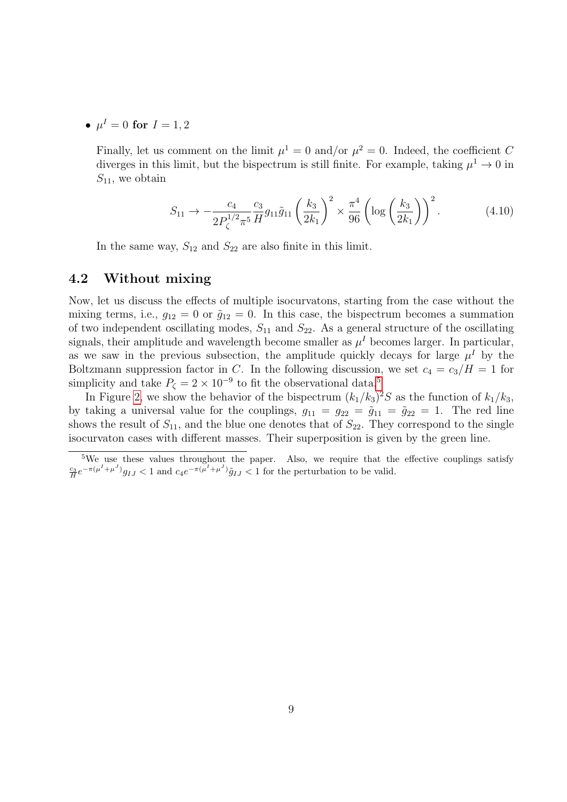•  $\mu^I = 0$  for  $I = 1, 2$ 

Finally, let us comment on the limit  $\mu^1 = 0$  and/or  $\mu^2 = 0$ . Indeed, the coefficient C diverges in this limit, but the bispectrum is still finite. For example, taking  $\mu^1 \to 0$  in  $S_{11}$ , we obtain

$$
S_{11} \to -\frac{c_4}{2P_{\zeta}^{1/2} \pi^5} \frac{c_3}{H} g_{11} \tilde{g}_{11} \left(\frac{k_3}{2k_1}\right)^2 \times \frac{\pi^4}{96} \left(\log\left(\frac{k_3}{2k_1}\right)\right)^2. \tag{4.10}
$$

In the same way,  $S_{12}$  and  $S_{22}$  are also finite in this limit.

#### <span id="page-9-0"></span>4.2 Without mixing

Now, let us discuss the effects of multiple isocurvatons, starting from the case without the mixing terms, i.e.,  $g_{12} = 0$  or  $\tilde{g}_{12} = 0$ . In this case, the bispectrum becomes a summation of two independent oscillating modes,  $S_{11}$  and  $S_{22}$ . As a general structure of the oscillating signals, their amplitude and wavelength become smaller as  $\mu^I$  becomes larger. In particular, as we saw in the previous subsection, the amplitude quickly decays for large  $\mu^I$  by the Boltzmann suppression factor in C. In the following discussion, we set  $c_4 = c_3/H = 1$  for simplicity and take  $P_{\zeta} = 2 \times 10^{-9}$  to fit the observational data.<sup>[5](#page-9-1)</sup>

In Figure [2,](#page-10-0) we show the behavior of the bispectrum  $(k_1/k_3)^2S$  as the function of  $k_1/k_3$ , by taking a universal value for the couplings,  $g_{11} = g_{22} = \tilde{g}_{11} = \tilde{g}_{22} = 1$ . The red line shows the result of  $S_{11}$ , and the blue one denotes that of  $S_{22}$ . They correspond to the single isocurvaton cases with different masses. Their superposition is given by the green line.

<span id="page-9-1"></span><sup>&</sup>lt;sup>5</sup>We use these values throughout the paper. Also, we require that the effective couplings satisfy  $\frac{c_3}{H}e^{-\pi(\mu^I+\mu^J)}g_{IJ} < 1$  and  $c_4e^{-\pi(\mu^I+\mu^J)}\tilde{g}_{IJ} < 1$  for the perturbation to be valid.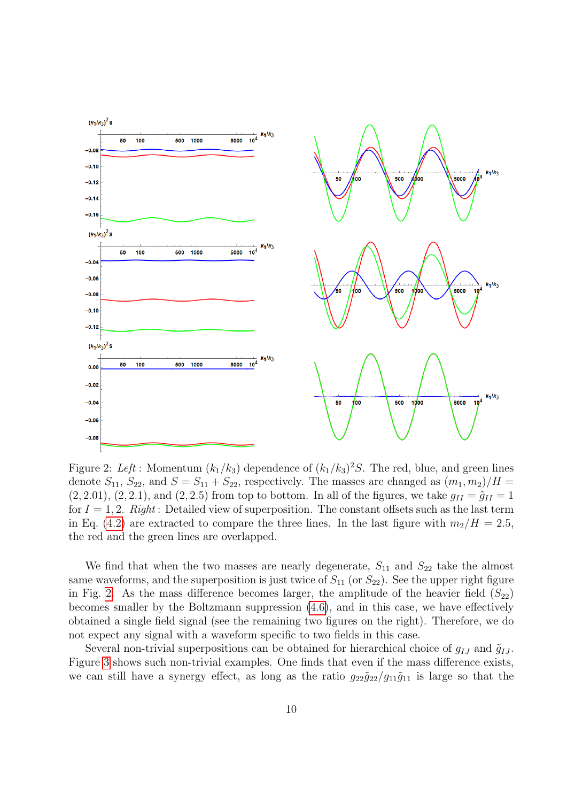

<span id="page-10-0"></span>Figure 2: Left : Momentum  $(k_1/k_3)$  dependence of  $(k_1/k_3)^2S$ . The red, blue, and green lines denote  $S_{11}$ ,  $S_{22}$ , and  $S = S_{11} + S_{22}$ , respectively. The masses are changed as  $(m_1, m_2)/H =$  $(2, 2.01), (2, 2.1),$  and  $(2, 2.5)$  from top to bottom. In all of the figures, we take  $g_{II} = \tilde{g}_{II} = 1$ for  $I = 1, 2$ . Right: Detailed view of superposition. The constant offsets such as the last term in Eq. [\(4.2\)](#page-7-4) are extracted to compare the three lines. In the last figure with  $m_2/H = 2.5$ , the red and the green lines are overlapped.

We find that when the two masses are nearly degenerate,  $S_{11}$  and  $S_{22}$  take the almost same waveforms, and the superposition is just twice of  $S_{11}$  (or  $S_{22}$ ). See the upper right figure in Fig. [2.](#page-10-0) As the mass difference becomes larger, the amplitude of the heavier field  $(S_{22})$ becomes smaller by the Boltzmann suppression [\(4.6\)](#page-8-2), and in this case, we have effectively obtained a single field signal (see the remaining two figures on the right). Therefore, we do not expect any signal with a waveform specific to two fields in this case.

Several non-trivial superpositions can be obtained for hierarchical choice of  $q_{IJ}$  and  $\tilde{q}_{IJ}$ . Figure [3](#page-11-1) shows such non-trivial examples. One finds that even if the mass difference exists, we can still have a synergy effect, as long as the ratio  $g_{22}g_{22}/g_{11}g_{11}$  is large so that the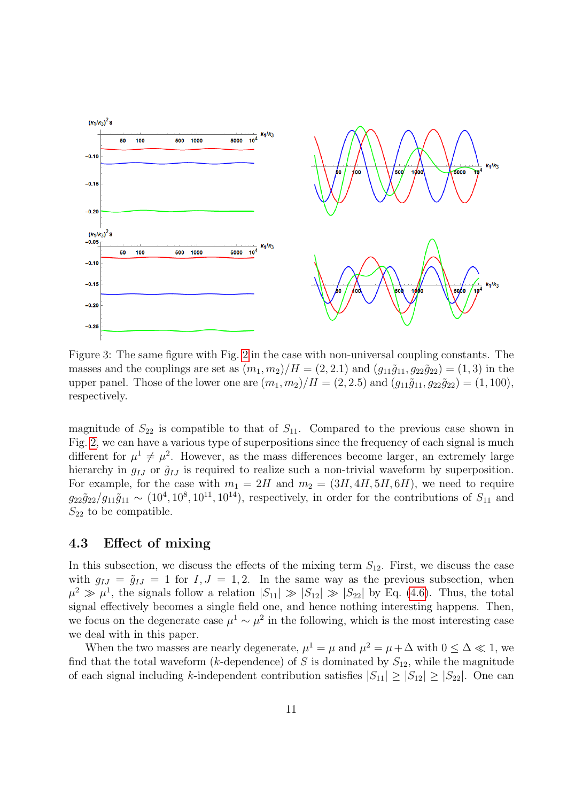

<span id="page-11-1"></span>Figure 3: The same figure with Fig. [2](#page-10-0) in the case with non-universal coupling constants. The masses and the couplings are set as  $(m_1, m_2)/H = (2, 2.1)$  and  $(g_{11}\tilde{g}_{11}, g_{22}\tilde{g}_{22}) = (1, 3)$  in the upper panel. Those of the lower one are  $(m_1, m_2)/H = (2, 2.5)$  and  $(g_{11}\tilde{g}_{11}, g_{22}\tilde{g}_{22}) = (1, 100)$ , respectively.

magnitude of  $S_{22}$  is compatible to that of  $S_{11}$ . Compared to the previous case shown in Fig. [2,](#page-10-0) we can have a various type of superpositions since the frequency of each signal is much different for  $\mu^1 \neq \mu^2$ . However, as the mass differences become larger, an extremely large hierarchy in  $g_{IJ}$  or  $\tilde{g}_{IJ}$  is required to realize such a non-trivial waveform by superposition. For example, for the case with  $m_1 = 2H$  and  $m_2 = (3H, 4H, 5H, 6H)$ , we need to require  $g_{22}\tilde{g}_{22}/g_{11}\tilde{g}_{11} \sim (10^4, 10^8, 10^{11}, 10^{14})$ , respectively, in order for the contributions of  $S_{11}$  and  $S_{22}$  to be compatible.

#### <span id="page-11-0"></span>4.3 Effect of mixing

In this subsection, we discuss the effects of the mixing term  $S_{12}$ . First, we discuss the case with  $g_{IJ} = \tilde{g}_{IJ} = 1$  for  $I, J = 1, 2$ . In the same way as the previous subsection, when  $\mu^2 \gg \mu^1$ , the signals follow a relation  $|S_{11}| \gg |S_{12}| \gg |S_{22}|$  by Eq. [\(4.6\)](#page-8-2). Thus, the total signal effectively becomes a single field one, and hence nothing interesting happens. Then, we focus on the degenerate case  $\mu^1 \sim \mu^2$  in the following, which is the most interesting case we deal with in this paper.

When the two masses are nearly degenerate,  $\mu^1 = \mu$  and  $\mu^2 = \mu + \Delta$  with  $0 \leq \Delta \ll 1$ , we find that the total waveform (k-dependence) of S is dominated by  $S_{12}$ , while the magnitude of each signal including k-independent contribution satisfies  $|S_{11}| \geq |S_{12}| \geq |S_{22}|$ . One can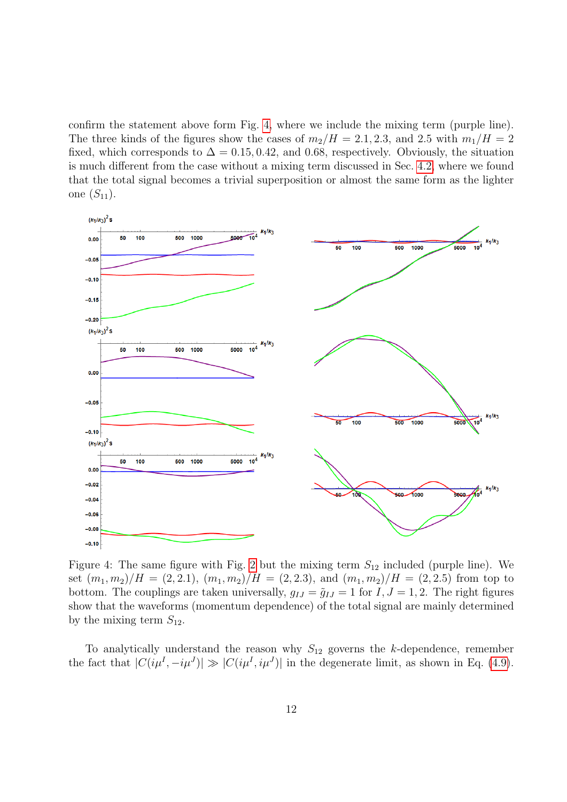confirm the statement above form Fig. [4,](#page-12-0) where we include the mixing term (purple line). The three kinds of the figures show the cases of  $m_2/H = 2.1, 2.3,$  and 2.5 with  $m_1/H = 2$ fixed, which corresponds to  $\Delta = 0.15, 0.42,$  and 0.68, respectively. Obviously, the situation is much different from the case without a mixing term discussed in Sec. [4.2,](#page-9-0) where we found that the total signal becomes a trivial superposition or almost the same form as the lighter one  $(S_{11})$ .



<span id="page-12-0"></span>Figure 4: The same figure with Fig. [2](#page-10-0) but the mixing term  $S_{12}$  included (purple line). We set  $(m_1, m_2)/H = (2, 2.1), (m_1, m_2)/H = (2, 2.3),$  and  $(m_1, m_2)/H = (2, 2.5)$  from top to bottom. The couplings are taken universally,  $g_{IJ} = \tilde{g}_{IJ} = 1$  for  $I, J = 1, 2$ . The right figures show that the waveforms (momentum dependence) of the total signal are mainly determined by the mixing term  $S_{12}$ .

To analytically understand the reason why  $S_{12}$  governs the k-dependence, remember the fact that  $|C(i\mu^I, -i\mu^J)| \gg |C(i\mu^I, i\mu^J)|$  in the degenerate limit, as shown in Eq. [\(4.9\)](#page-8-3).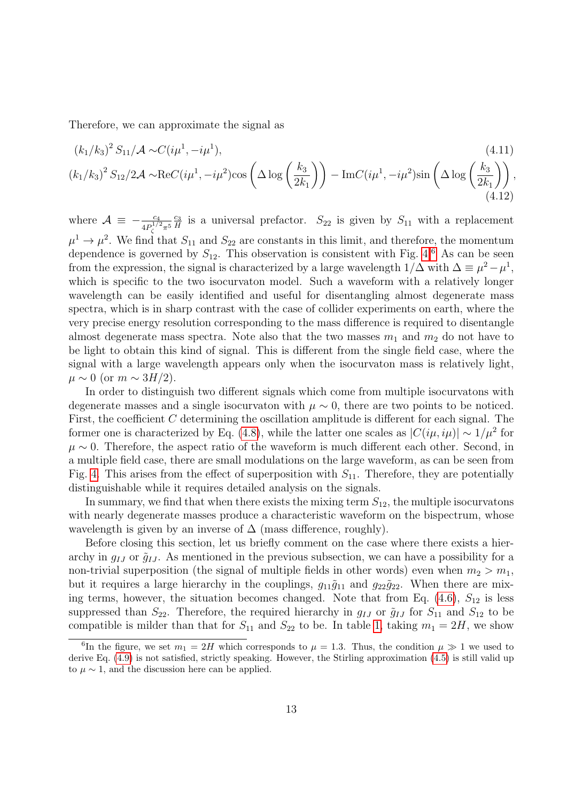Therefore, we can approximate the signal as

$$
(k_1/k_3)^2 S_{11} / \mathcal{A} \sim C(i\mu^1, -i\mu^1),
$$
\n
$$
(k_1/k_3)^2 S_{12} / 2\mathcal{A} \sim \text{Re}C(i\mu^1, -i\mu^2) \cos\left(\Delta \log\left(\frac{k_3}{2k_1}\right)\right) - \text{Im}C(i\mu^1, -i\mu^2) \sin\left(\Delta \log\left(\frac{k_3}{2k_1}\right)\right),
$$
\n(4.11)

where  $\mathcal{A} \equiv -\frac{c_4}{4P_{\zeta}^{1/2}\pi^5}$  $\frac{c_3}{c_3}$  $\frac{c_3}{H}$  is a universal prefactor.  $S_{22}$  is given by  $S_{11}$  with a replacement  $\mu^1 \to \mu^2$ . We find that  $S_{11}$  and  $S_{22}$  are constants in this limit, and therefore, the momentum dependence is governed by  $S_{12}$ . This observation is consistent with Fig. [4.](#page-12-0)<sup>[6](#page-13-0)</sup> As can be seen from the expression, the signal is characterized by a large wavelength  $1/\Delta$  with  $\Delta \equiv \mu^2 - \mu^1$ , which is specific to the two isocurvaton model. Such a waveform with a relatively longer wavelength can be easily identified and useful for disentangling almost degenerate mass spectra, which is in sharp contrast with the case of collider experiments on earth, where the very precise energy resolution corresponding to the mass difference is required to disentangle almost degenerate mass spectra. Note also that the two masses  $m_1$  and  $m_2$  do not have to be light to obtain this kind of signal. This is different from the single field case, where the signal with a large wavelength appears only when the isocurvaton mass is relatively light,  $\mu \sim 0$  (or  $m \sim 3H/2$ ).

In order to distinguish two different signals which come from multiple isocurvatons with degenerate masses and a single isocurvaton with  $\mu \sim 0$ , there are two points to be noticed. First, the coefficient C determining the oscillation amplitude is different for each signal. The former one is characterized by Eq. [\(4.8\)](#page-8-4), while the latter one scales as  $|C(i\mu, i\mu)| \sim 1/\mu^2$  for  $\mu \sim 0$ . Therefore, the aspect ratio of the waveform is much different each other. Second, in a multiple field case, there are small modulations on the large waveform, as can be seen from Fig. [4.](#page-12-0) This arises from the effect of superposition with  $S_{11}$ . Therefore, they are potentially distinguishable while it requires detailed analysis on the signals.

In summary, we find that when there exists the mixing term  $S_{12}$ , the multiple isocurvatons with nearly degenerate masses produce a characteristic waveform on the bispectrum, whose wavelength is given by an inverse of  $\Delta$  (mass difference, roughly).

Before closing this section, let us briefly comment on the case where there exists a hierarchy in  $q_{IJ}$  or  $\tilde{q}_{IJ}$ . As mentioned in the previous subsection, we can have a possibility for a non-trivial superposition (the signal of multiple fields in other words) even when  $m_2 > m_1$ , but it requires a large hierarchy in the couplings,  $g_{11}\tilde{g}_{11}$  and  $g_{22}\tilde{g}_{22}$ . When there are mixing terms, however, the situation becomes changed. Note that from Eq.  $(4.6)$ ,  $S_{12}$  is less suppressed than  $S_{22}$ . Therefore, the required hierarchy in  $g_{IJ}$  or  $\tilde{g}_{IJ}$  for  $S_{11}$  and  $S_{12}$  to be compatible is milder than that for  $S_{11}$  and  $S_{22}$  to be. In table [1,](#page-14-1) taking  $m_1 = 2H$ , we show

<span id="page-13-0"></span><sup>&</sup>lt;sup>6</sup>In the figure, we set  $m_1 = 2H$  which corresponds to  $\mu = 1.3$ . Thus, the condition  $\mu \gg 1$  we used to derive Eq. [\(4.9\)](#page-8-3) is not satisfied, strictly speaking. However, the Stirling approximation [\(4.5\)](#page-8-1) is still valid up to  $\mu \sim 1$ , and the discussion here can be applied.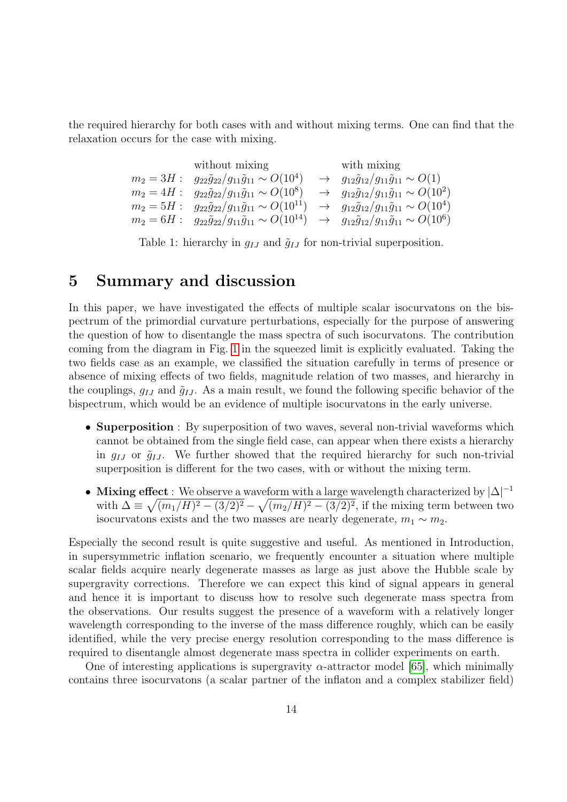the required hierarchy for both cases with and without mixing terms. One can find that the relaxation occurs for the case with mixing.

> without mixing with mixing  $m_2 = 3H$ :  $g_{22}\tilde{g}_{22}/g_{11}\tilde{g}_{11} \sim O(10^4) \rightarrow g_{12}\tilde{g}_{12}/g_{11}\tilde{g}_{11} \sim O(1)$  $m_2 = 4H$ :  $g_{22}\tilde{g}_{22}/g_{11}\tilde{g}_{11} \sim O(10^8) \rightarrow g_{12}\tilde{g}_{12}/g_{11}\tilde{g}_{11} \sim O(10^2)$  $m_2 = 5H : g_{22}\tilde{g}_{22}/g_{11}\tilde{g}_{11} \sim O(10^{11}) \rightarrow g_{12}\tilde{g}_{12}/g_{11}\tilde{g}_{11} \sim O(10^4)$  $m_2 = 6H : g_{22}\tilde{g}_{22}/g_{11}\tilde{g}_{11} \sim O(10^{14}) \rightarrow g_{12}\tilde{g}_{12}/g_{11}\tilde{g}_{11} \sim O(10^6)$

<span id="page-14-1"></span>Table 1: hierarchy in  $g_{IJ}$  and  $\tilde{g}_{IJ}$  for non-trivial superposition.

### <span id="page-14-0"></span>5 Summary and discussion

In this paper, we have investigated the effects of multiple scalar isocurvatons on the bispectrum of the primordial curvature perturbations, especially for the purpose of answering the question of how to disentangle the mass spectra of such isocurvatons. The contribution coming from the diagram in Fig. [1](#page-5-4) in the squeezed limit is explicitly evaluated. Taking the two fields case as an example, we classified the situation carefully in terms of presence or absence of mixing effects of two fields, magnitude relation of two masses, and hierarchy in the couplings,  $g_{IJ}$  and  $\tilde{g}_{IJ}$ . As a main result, we found the following specific behavior of the bispectrum, which would be an evidence of multiple isocurvatons in the early universe.

- Superposition : By superposition of two waves, several non-trivial waveforms which cannot be obtained from the single field case, can appear when there exists a hierarchy in  $q_{IJ}$  or  $\tilde{q}_{IJ}$ . We further showed that the required hierarchy for such non-trivial superposition is different for the two cases, with or without the mixing term.
- Mixing effect : We observe a waveform with a large wavelength characterized by  $|\Delta|^{-1}$ with  $\Delta \equiv \sqrt{(m_1/H)^2 - (3/2)^2} - \sqrt{(m_2/H)^2 - (3/2)^2}$ , if the mixing term between two isocurvatons exists and the two masses are nearly degenerate,  $m_1 \sim m_2$ .

Especially the second result is quite suggestive and useful. As mentioned in Introduction, in supersymmetric inflation scenario, we frequently encounter a situation where multiple scalar fields acquire nearly degenerate masses as large as just above the Hubble scale by supergravity corrections. Therefore we can expect this kind of signal appears in general and hence it is important to discuss how to resolve such degenerate mass spectra from the observations. Our results suggest the presence of a waveform with a relatively longer wavelength corresponding to the inverse of the mass difference roughly, which can be easily identified, while the very precise energy resolution corresponding to the mass difference is required to disentangle almost degenerate mass spectra in collider experiments on earth.

One of interesting applications is supergravity  $\alpha$ -attractor model [\[65\]](#page-29-4), which minimally contains three isocurvatons (a scalar partner of the inflaton and a complex stabilizer field)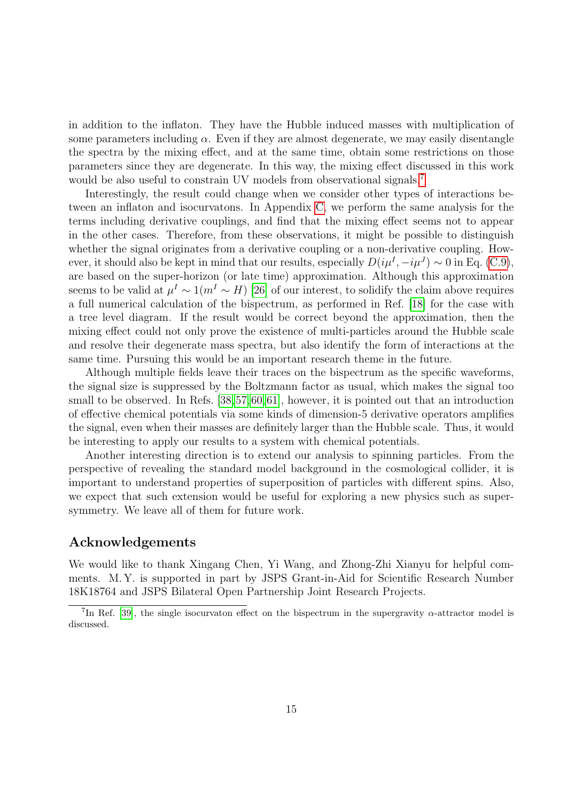in addition to the inflaton. They have the Hubble induced masses with multiplication of some parameters including  $\alpha$ . Even if they are almost degenerate, we may easily disentangle the spectra by the mixing effect, and at the same time, obtain some restrictions on those parameters since they are degenerate. In this way, the mixing effect discussed in this work would be also useful to constrain UV models from observational signals.<sup>[7](#page-15-0)</sup>

Interestingly, the result could change when we consider other types of interactions between an inflaton and isocurvatons. In Appendix [C,](#page-20-0) we perform the same analysis for the terms including derivative couplings, and find that the mixing effect seems not to appear in the other cases. Therefore, from these observations, it might be possible to distinguish whether the signal originates from a derivative coupling or a non-derivative coupling. However, it should also be kept in mind that our results, especially  $D(i\mu^I, -i\mu^J) \sim 0$  in Eq. [\(C.9\)](#page-21-0), are based on the super-horizon (or late time) approximation. Although this approximation seems to be valid at  $\mu^I \sim 1(m^I \sim H)$  [\[26\]](#page-26-1) of our interest, to solidify the claim above requires a full numerical calculation of the bispectrum, as performed in Ref. [\[18\]](#page-26-2) for the case with a tree level diagram. If the result would be correct beyond the approximation, then the mixing effect could not only prove the existence of multi-particles around the Hubble scale and resolve their degenerate mass spectra, but also identify the form of interactions at the same time. Pursuing this would be an important research theme in the future.

Although multiple fields leave their traces on the bispectrum as the specific waveforms, the signal size is suppressed by the Boltzmann factor as usual, which makes the signal too small to be observed. In Refs. [\[38,](#page-27-0)[57,](#page-28-0)[60,](#page-28-1)[61\]](#page-29-0), however, it is pointed out that an introduction of effective chemical potentials via some kinds of dimension-5 derivative operators amplifies the signal, even when their masses are definitely larger than the Hubble scale. Thus, it would be interesting to apply our results to a system with chemical potentials.

Another interesting direction is to extend our analysis to spinning particles. From the perspective of revealing the standard model background in the cosmological collider, it is important to understand properties of superposition of particles with different spins. Also, we expect that such extension would be useful for exploring a new physics such as supersymmetry. We leave all of them for future work.

#### Acknowledgements

We would like to thank Xingang Chen, Yi Wang, and Zhong-Zhi Xianyu for helpful comments. M. Y. is supported in part by JSPS Grant-in-Aid for Scientific Research Number 18K18764 and JSPS Bilateral Open Partnership Joint Research Projects.

<span id="page-15-0"></span><sup>&</sup>lt;sup>7</sup>In Ref. [\[39\]](#page-27-1), the single isocurvaton effect on the bispectrum in the supergravity  $\alpha$ -attractor model is discussed.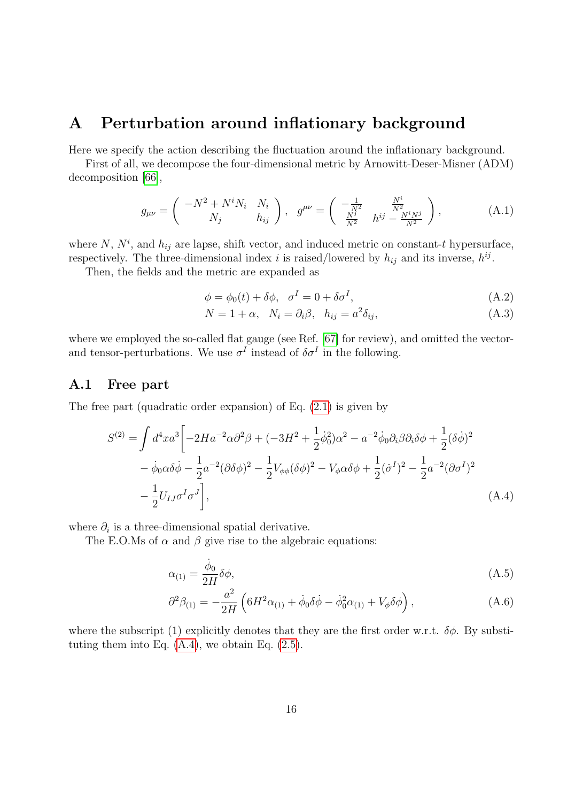### <span id="page-16-0"></span>A Perturbation around inflationary background

Here we specify the action describing the fluctuation around the inflationary background.

First of all, we decompose the four-dimensional metric by Arnowitt-Deser-Misner (ADM) decomposition [\[66\]](#page-29-5),

$$
g_{\mu\nu} = \begin{pmatrix} -N^2 + N^i N_i & N_i \\ N_j & h_{ij} \end{pmatrix}, \quad g^{\mu\nu} = \begin{pmatrix} -\frac{1}{N^2} & \frac{N^i}{N^2} \\ \frac{N^j}{N^2} & h^{ij} - \frac{N^i N^j}{N^2} \end{pmatrix},
$$
(A.1)

where N,  $N^i$ , and  $h_{ij}$  are lapse, shift vector, and induced metric on constant-t hypersurface, respectively. The three-dimensional index i is raised/lowered by  $h_{ij}$  and its inverse,  $h^{ij}$ .

Then, the fields and the metric are expanded as

$$
\phi = \phi_0(t) + \delta\phi, \quad \sigma^I = 0 + \delta\sigma^I,\tag{A.2}
$$

$$
N = 1 + \alpha, \quad N_i = \partial_i \beta, \quad h_{ij} = a^2 \delta_{ij}, \tag{A.3}
$$

where we employed the so-called flat gauge (see Ref. [\[67\]](#page-29-6) for review), and omitted the vectorand tensor-perturbations. We use  $\sigma^I$  instead of  $\delta \sigma^I$  in the following.

#### <span id="page-16-1"></span>A.1 Free part

The free part (quadratic order expansion) of Eq. [\(2.1\)](#page-3-4) is given by

$$
S^{(2)} = \int d^4x a^3 \left[ -2Ha^{-2} \alpha \partial^2 \beta + (-3H^2 + \frac{1}{2}\dot{\phi}_0^2)\alpha^2 - a^{-2}\dot{\phi}_0 \partial_i \beta \partial_i \delta \phi + \frac{1}{2}(\delta \dot{\phi})^2 - \dot{\phi}_0 \alpha \delta \dot{\phi} - \frac{1}{2}a^{-2} (\partial \delta \phi)^2 - \frac{1}{2}V_{\phi\phi}(\delta \phi)^2 - V_{\phi} \alpha \delta \phi + \frac{1}{2}(\dot{\sigma}^I)^2 - \frac{1}{2}a^{-2} (\partial \sigma^I)^2 - \frac{1}{2}U_{IJ}\sigma^I \sigma^J \right],
$$
\n(A.4)

where  $\partial_i$  is a three-dimensional spatial derivative.

The E.O.Ms of  $\alpha$  and  $\beta$  give rise to the algebraic equations:

<span id="page-16-2"></span>
$$
\alpha_{(1)} = \frac{\dot{\phi}_0}{2H} \delta \phi,\tag{A.5}
$$

$$
\partial^2 \beta_{(1)} = -\frac{a^2}{2H} \left( 6H^2 \alpha_{(1)} + \dot{\phi}_0 \delta \dot{\phi} - \dot{\phi}_0^2 \alpha_{(1)} + V_\phi \delta \phi \right), \tag{A.6}
$$

where the subscript (1) explicitly denotes that they are the first order w.r.t.  $\delta\phi$ . By substituting them into Eq.  $(A.4)$ , we obtain Eq.  $(2.5)$ .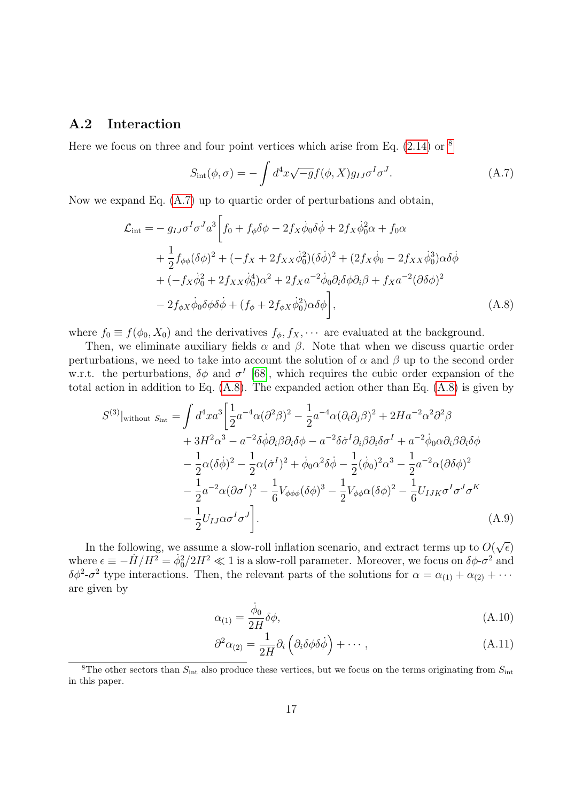#### <span id="page-17-0"></span>A.2 Interaction

Here we focus on three and four point vertices which arise from Eq.  $(2.14)$  or  $<sup>8</sup>$  $<sup>8</sup>$  $<sup>8</sup>$ </sup>

<span id="page-17-3"></span><span id="page-17-2"></span>
$$
S_{\rm int}(\phi,\sigma) = -\int d^4x \sqrt{-g} f(\phi, X) g_{IJ} \sigma^I \sigma^J.
$$
 (A.7)

Now we expand Eq. [\(A.7\)](#page-17-2) up to quartic order of perturbations and obtain,

$$
\mathcal{L}_{int} = -g_{IJ}\sigma^I \sigma^J a^3 \left[ f_0 + f_\phi \delta \phi - 2f_X \dot{\phi}_0 \delta \dot{\phi} + 2f_X \dot{\phi}_0^2 \alpha + f_0 \alpha \right. \n+ \frac{1}{2} f_{\phi\phi} (\delta \phi)^2 + (-f_X + 2f_{XX} \dot{\phi}_0^2)(\delta \dot{\phi})^2 + (2f_X \dot{\phi}_0 - 2f_{XX} \dot{\phi}_0^3) \alpha \delta \dot{\phi} \n+ (-f_X \dot{\phi}_0^2 + 2f_{XX} \dot{\phi}_0^4) \alpha^2 + 2f_X a^{-2} \dot{\phi}_0 \partial_i \delta \phi \partial_i \beta + f_X a^{-2} (\partial \delta \phi)^2 \n- 2f_{\phi X} \dot{\phi}_0 \delta \phi \delta \dot{\phi} + (f_\phi + 2f_{\phi X} \dot{\phi}_0^2) \alpha \delta \phi \right],
$$
\n(A.8)

where  $f_0 \equiv f(\phi_0, X_0)$  and the derivatives  $f_\phi, f_X, \cdots$  are evaluated at the background.

Then, we eliminate auxiliary fields  $\alpha$  and  $\beta$ . Note that when we discuss quartic order perturbations, we need to take into account the solution of  $\alpha$  and  $\beta$  up to the second order w.r.t. the perturbations,  $\delta\phi$  and  $\sigma^I$  [\[68\]](#page-29-7), which requires the cubic order expansion of the total action in addition to Eq. [\(A.8\)](#page-17-3). The expanded action other than Eq. [\(A.8\)](#page-17-3) is given by

$$
S^{(3)}|_{\text{without }S_{\text{int}}} = \int d^4 x a^3 \left[ \frac{1}{2} a^{-4} \alpha (\partial^2 \beta)^2 - \frac{1}{2} a^{-4} \alpha (\partial_i \partial_j \beta)^2 + 2Ha^{-2} \alpha^2 \partial^2 \beta \right. \\ + 3H^2 \alpha^3 - a^{-2} \delta \dot{\phi} \partial_i \beta \partial_i \delta \phi - a^{-2} \delta \dot{\sigma}^I \partial_i \beta \partial_i \delta \sigma^I + a^{-2} \dot{\phi}_0 \alpha \partial_i \beta \partial_i \delta \phi \right. \\ - \frac{1}{2} \alpha (\delta \dot{\phi})^2 - \frac{1}{2} \alpha (\dot{\sigma}^I)^2 + \dot{\phi}_0 \alpha^2 \delta \dot{\phi} - \frac{1}{2} (\dot{\phi}_0)^2 \alpha^3 - \frac{1}{2} a^{-2} \alpha (\partial \delta \phi)^2 \right. \\ - \frac{1}{2} a^{-2} \alpha (\partial \sigma^I)^2 - \frac{1}{6} V_{\phi \phi \phi} (\delta \phi)^3 - \frac{1}{2} V_{\phi \phi} \alpha (\delta \phi)^2 - \frac{1}{6} U_{IJK} \sigma^I \sigma^J \sigma^K \right. \\ - \frac{1}{2} U_{IJ} \alpha \sigma^I \sigma^J \right]. \tag{A.9}
$$

In the following, we assume a slow-roll inflation scenario, and extract terms up to  $O($ √  $\widehat{\epsilon})$ where  $\epsilon \equiv -\dot{H}/H^2 = \dot{\phi}_0^2/2H^2 \ll 1$  is a slow-roll parameter. Moreover, we focus on  $\delta\phi$ - $\sigma^2$  and  $\delta\phi^2$ - $\sigma^2$  type interactions. Then, the relevant parts of the solutions for  $\alpha = \alpha_{(1)} + \alpha_{(2)} + \cdots$ are given by

$$
\alpha_{(1)} = \frac{\dot{\phi}_0}{2H} \delta \phi,\tag{A.10}
$$

$$
\partial^2 \alpha_{(2)} = \frac{1}{2H} \partial_i \left( \partial_i \delta \phi \delta \dot{\phi} \right) + \cdots, \qquad (A.11)
$$

<span id="page-17-1"></span><sup>&</sup>lt;sup>8</sup>The other sectors than  $S_{\text{int}}$  also produce these vertices, but we focus on the terms originating from  $S_{\text{int}}$ in this paper.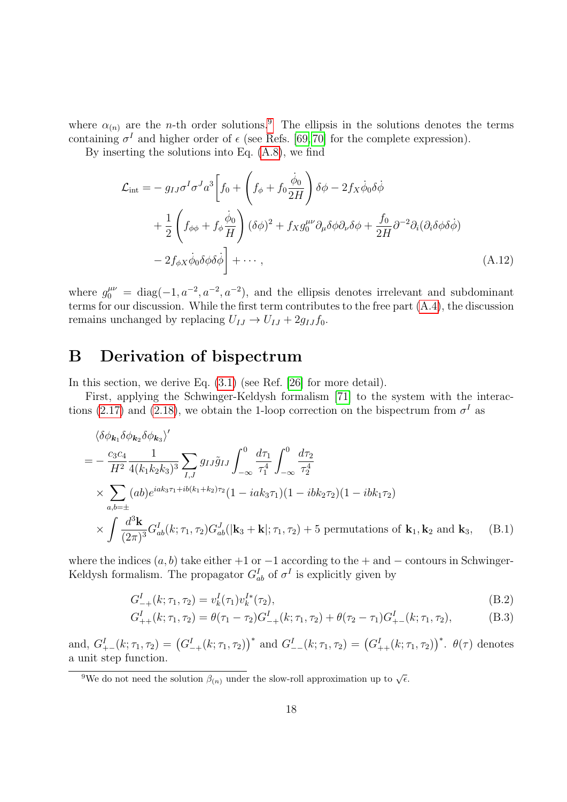where  $\alpha_{(n)}$  are the *n*-th order solutions.<sup>[9](#page-18-1)</sup> The ellipsis in the solutions denotes the terms containing  $\sigma^I$  and higher order of  $\epsilon$  (see Refs. [\[69,](#page-29-8)70] for the complete expression).

By inserting the solutions into Eq. [\(A.8\)](#page-17-3), we find

<span id="page-18-3"></span>
$$
\mathcal{L}_{int} = -g_{IJ}\sigma^I \sigma^J a^3 \left[ f_0 + \left( f_\phi + f_0 \frac{\dot{\phi}_0}{2H} \right) \delta \phi - 2f_X \dot{\phi}_0 \delta \dot{\phi} \right] \n+ \frac{1}{2} \left( f_{\phi\phi} + f_\phi \frac{\dot{\phi}_0}{H} \right) (\delta \phi)^2 + f_X g_0^{\mu\nu} \partial_\mu \delta \phi \partial_\nu \delta \phi + \frac{f_0}{2H} \partial^{-2} \partial_i (\partial_i \delta \phi \delta \dot{\phi}) \n- 2f_{\phi X} \dot{\phi}_0 \delta \phi \delta \dot{\phi} \right] + \cdots ,
$$
\n(A.12)

where  $g_0^{\mu\nu} = \text{diag}(-1, a^{-2}, a^{-2}, a^{-2})$ , and the ellipsis denotes irrelevant and subdominant terms for our discussion. While the first term contributes to the free part [\(A.4\)](#page-16-2), the discussion remains unchanged by replacing  $U_{IJ} \rightarrow U_{IJ} + 2g_{IJ}f_0$ .

### <span id="page-18-0"></span>B Derivation of bispectrum

In this section, we derive Eq.  $(3.1)$  (see Ref. [\[26\]](#page-26-1) for more detail).

First, applying the Schwinger-Keldysh formalism [\[71\]](#page-29-10) to the system with the interac-tions [\(2.17\)](#page-5-2) and [\(2.18\)](#page-5-3), we obtain the 1-loop correction on the bispectrum from  $\sigma^I$  as

$$
\langle \delta \phi_{\mathbf{k}_1} \delta \phi_{\mathbf{k}_2} \delta \phi_{\mathbf{k}_3} \rangle'
$$
  
=  $-\frac{c_3 c_4}{H^2} \frac{1}{4(k_1 k_2 k_3)^3} \sum_{I,J} g_{IJ} \tilde{g}_{IJ} \int_{-\infty}^0 \frac{d\tau_1}{\tau_1^4} \int_{-\infty}^0 \frac{d\tau_2}{\tau_2^4}$   
 $\times \sum_{a,b=\pm} (ab)e^{iak_3\tau_1 + ib(k_1+k_2)\tau_2} (1 - iak_3\tau_1)(1 - ibk_2\tau_2)(1 - ibk_1\tau_2)$   
 $\times \int \frac{d^3 \mathbf{k}}{(2\pi)^3} G_{ab}^I(k; \tau_1, \tau_2) G_{ab}^J(|\mathbf{k}_3 + \mathbf{k}|; \tau_1, \tau_2) + 5 \text{ permutations of } \mathbf{k}_1, \mathbf{k}_2 \text{ and } \mathbf{k}_3,$  (B.1)

where the indices  $(a, b)$  take either +1 or  $-1$  according to the + and  $-$  contours in Schwinger-Keldysh formalism. The propagator  $G_{ab}^I$  of  $\sigma^I$  is explicitly given by

<span id="page-18-2"></span>
$$
G_{-+}^{I}(k; \tau_1, \tau_2) = v_k^{I}(\tau_1)v_k^{I*}(\tau_2), \tag{B.2}
$$

$$
G_{++}^I(k; \tau_1, \tau_2) = \theta(\tau_1 - \tau_2)G_{-+}^I(k; \tau_1, \tau_2) + \theta(\tau_2 - \tau_1)G_{+-}^I(k; \tau_1, \tau_2), \tag{B.3}
$$

and,  $G_{+-}^I(k; \tau_1, \tau_2) = (G_{-+}^I(k; \tau_1, \tau_2))^*$  and  $G_{--}^I(k; \tau_1, \tau_2) = (G_{++}^I(k; \tau_1, \tau_2))^*$ .  $\theta(\tau)$  denotes a unit step function.

<span id="page-18-1"></span><sup>&</sup>lt;sup>9</sup>We do not need the solution  $\beta_{(n)}$  under the slow-roll approximation up to  $\sqrt{\epsilon}$ .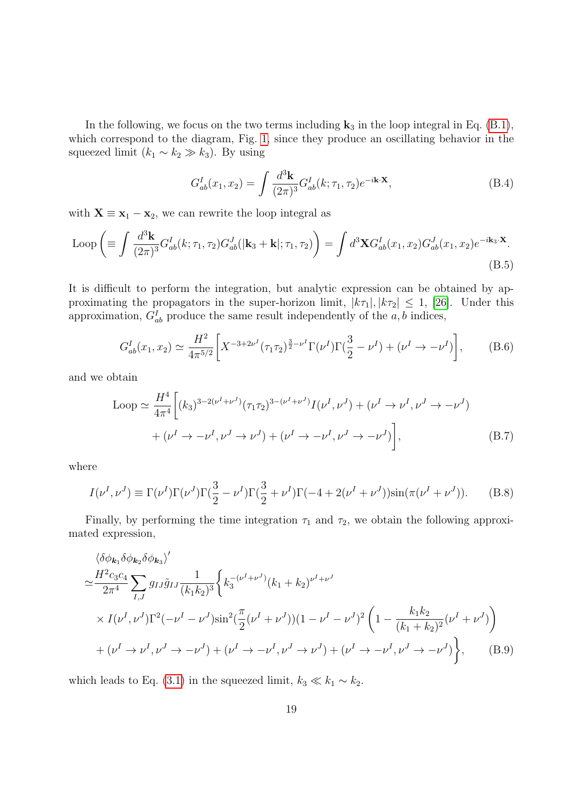In the following, we focus on the two terms including  $\mathbf{k}_3$  in the loop integral in Eq. [\(B.1\)](#page-18-2), which correspond to the diagram, Fig. [1,](#page-5-4) since they produce an oscillating behavior in the squeezed limit  $(k_1 \sim k_2 \gg k_3)$ . By using

$$
G_{ab}^I(x_1, x_2) = \int \frac{d^3 \mathbf{k}}{(2\pi)^3} G_{ab}^I(k; \tau_1, \tau_2) e^{-i\mathbf{k} \cdot \mathbf{X}}, \tag{B.4}
$$

with  $X \equiv x_1 - x_2$ , we can rewrite the loop integral as

Loop 
$$
\left( \equiv \int \frac{d^3 \mathbf{k}}{(2\pi)^3} G_{ab}^I(k; \tau_1, \tau_2) G_{ab}^J(|\mathbf{k}_3 + \mathbf{k}|; \tau_1, \tau_2) \right) = \int d^3 \mathbf{X} G_{ab}^I(x_1, x_2) G_{ab}^J(x_1, x_2) e^{-i \mathbf{k}_3 \cdot \mathbf{X}}.
$$
\n(B.5)

It is difficult to perform the integration, but analytic expression can be obtained by approximating the propagators in the super-horizon limit,  $|k\tau_1|, |k\tau_2| \leq 1$ , [\[26\]](#page-26-1). Under this approximation,  $G_{ab}^I$  produce the same result independently of the  $a, b$  indices,

$$
G_{ab}^I(x_1, x_2) \simeq \frac{H^2}{4\pi^{5/2}} \bigg[ X^{-3+2\nu^I} (\tau_1 \tau_2)^{\frac{3}{2}-\nu^I} \Gamma(\nu^I) \Gamma(\frac{3}{2}-\nu^I) + (\nu^I \to -\nu^I) \bigg], \tag{B.6}
$$

and we obtain

<span id="page-19-0"></span>
$$
\text{Loop} \simeq \frac{H^4}{4\pi^4} \bigg[ (k_3)^{3-2(\nu^I + \nu^J)} (\tau_1 \tau_2)^{3-(\nu^I + \nu^J)} I(\nu^I, \nu^J) + (\nu^I \to \nu^I, \nu^J \to -\nu^J) + (\nu^I \to -\nu^I, \nu^J \to -\nu^J) \bigg],\tag{B.7}
$$

where

$$
I(\nu^{I}, \nu^{J}) \equiv \Gamma(\nu^{I})\Gamma(\nu^{J})\Gamma(\frac{3}{2} - \nu^{I})\Gamma(\frac{3}{2} + \nu^{I})\Gamma(-4 + 2(\nu^{I} + \nu^{J}))\sin(\pi(\nu^{I} + \nu^{J})).
$$
 (B.8)

Finally, by performing the time integration  $\tau_1$  and  $\tau_2$ , we obtain the following approximated expression,

$$
\begin{split}\n&\langle \delta \phi_{\mathbf{k}_{1}} \delta \phi_{\mathbf{k}_{2}} \delta \phi_{\mathbf{k}_{3}} \rangle' \\
&\simeq \frac{H^{2} c_{3} c_{4}}{2\pi^{4}} \sum_{I,J} g_{IJ} \tilde{g}_{IJ} \frac{1}{(k_{1} k_{2})^{3}} \bigg\{ k_{3}^{-(\nu^{I} + \nu^{J})} (k_{1} + k_{2})^{\nu^{I} + \nu^{J}} \\
&\times I(\nu^{I}, \nu^{J}) \Gamma^{2} (-\nu^{I} - \nu^{J}) \sin^{2} (\frac{\pi}{2} (\nu^{I} + \nu^{J})) (1 - \nu^{I} - \nu^{J})^{2} \left( 1 - \frac{k_{1} k_{2}}{(k_{1} + k_{2})^{2}} (\nu^{I} + \nu^{J}) \right) \\
&\quad + (\nu^{I} \to \nu^{I}, \nu^{J} \to -\nu^{J}) + (\nu^{I} \to -\nu^{I}, \nu^{J} \to \nu^{J}) + (\nu^{I} \to -\nu^{I}, \nu^{J} \to -\nu^{J}) \bigg\},\n\end{split} \tag{B.9}
$$

which leads to Eq. [\(3.1\)](#page-6-2) in the squeezed limit,  $k_3 \ll k_1 \sim k_2$ .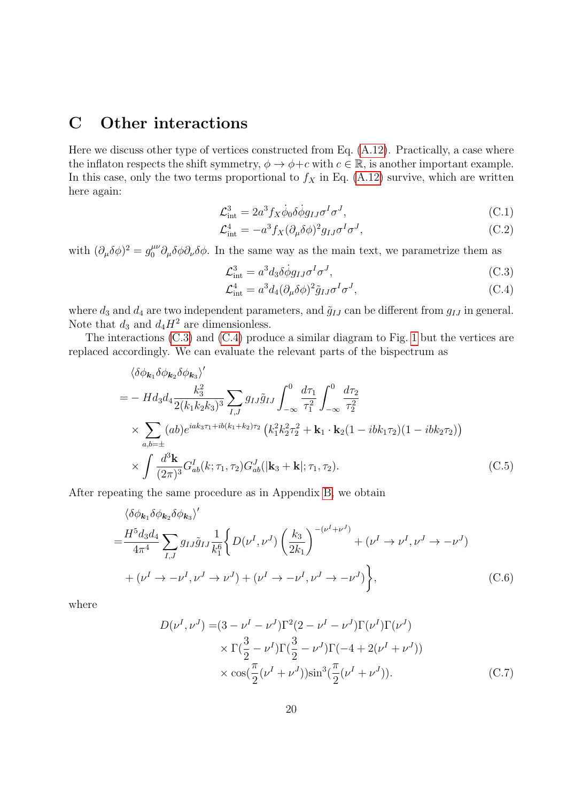## <span id="page-20-0"></span>C Other interactions

Here we discuss other type of vertices constructed from Eq.  $(A.12)$ . Practically, a case where the inflaton respects the shift symmetry,  $\phi \to \phi+c$  with  $c \in \mathbb{R}$ , is another important example. In this case, only the two terms proportional to  $f_X$  in Eq. [\(A.12\)](#page-18-3) survive, which are written here again:

$$
\mathcal{L}_{int}^{3} = 2a^{3} f_{X} \dot{\phi}_{0} \delta \dot{\phi} g_{IJ} \sigma^{I} \sigma^{J}, \qquad (C.1)
$$

$$
\mathcal{L}^4_{\text{int}} = -a^3 f_X (\partial_\mu \delta \phi)^2 g_{IJ} \sigma^I \sigma^J,\tag{C.2}
$$

with  $(\partial_{\mu}\delta\phi)^{2} = g_0^{\mu\nu}\partial_{\mu}\delta\phi\partial_{\nu}\delta\phi$ . In the same way as the main text, we parametrize them as

<span id="page-20-2"></span><span id="page-20-1"></span>
$$
\mathcal{L}_{int}^{3} = a^{3} d_{3} \delta \dot{\phi} g_{IJ} \sigma^{I} \sigma^{J}, \qquad (C.3)
$$

$$
\mathcal{L}^4_{\text{int}} = a^3 d_4 (\partial_\mu \delta \phi)^2 \tilde{g}_{IJ} \sigma^I \sigma^J,\tag{C.4}
$$

where  $d_3$  and  $d_4$  are two independent parameters, and  $\tilde{g}_{IJ}$  can be different from  $g_{IJ}$  in general. Note that  $d_3$  and  $d_4H^2$  are dimensionless.

The interactions [\(C.3\)](#page-20-1) and [\(C.4\)](#page-20-2) produce a similar diagram to Fig. [1](#page-5-4) but the vertices are replaced accordingly. We can evaluate the relevant parts of the bispectrum as

$$
\langle \delta \phi_{\mathbf{k}_{1}} \delta \phi_{\mathbf{k}_{2}} \delta \phi_{\mathbf{k}_{3}} \rangle'
$$
  
=  $- H d_{3} d_{4} \frac{k_{3}^{2}}{2(k_{1} k_{2} k_{3})^{3}} \sum_{I,J} g_{IJ} \tilde{g}_{IJ} \int_{-\infty}^{0} \frac{d\tau_{1}}{\tau_{1}^{2}} \int_{-\infty}^{0} \frac{d\tau_{2}}{\tau_{2}^{2}}$   
 $\times \sum_{a,b=\pm} (ab)e^{iak_{3}\tau_{1}+ib(k_{1}+k_{2})\tau_{2}} (k_{1}^{2} k_{2}^{2} \tau_{2}^{2} + \mathbf{k}_{1} \cdot \mathbf{k}_{2} (1 - ibk_{1}\tau_{2}) (1 - ibk_{2}\tau_{2}))$   
 $\times \int \frac{d^{3} \mathbf{k}}{(2\pi)^{3}} G_{ab}^{I}(k; \tau_{1}, \tau_{2}) G_{ab}^{J}(|\mathbf{k}_{3} + \mathbf{k}|; \tau_{1}, \tau_{2}).$  (C.5)

After repeating the same procedure as in Appendix [B,](#page-18-0) we obtain

$$
\langle \delta \phi_{\mathbf{k}_1} \delta \phi_{\mathbf{k}_2} \delta \phi_{\mathbf{k}_3} \rangle'
$$
  
=  $\frac{H^5 d_3 d_4}{4\pi^4} \sum_{I,J} g_{IJ} \tilde{g}_{IJ} \frac{1}{k_1^6} \Bigg\{ D(\nu^I, \nu^J) \left( \frac{k_3}{2k_1} \right)^{-(\nu^I + \nu^J)} + (\nu^I \to \nu^I, \nu^J \to -\nu^J) + (\nu^I \to -\nu^I, \nu^J \to -\nu^J) \Bigg\},$  (C.6)

where

$$
D(\nu^{I}, \nu^{J}) = (3 - \nu^{I} - \nu^{J})\Gamma^{2}(2 - \nu^{I} - \nu^{J})\Gamma(\nu^{I})\Gamma(\nu^{J})
$$
  
 
$$
\times \Gamma(\frac{3}{2} - \nu^{I})\Gamma(\frac{3}{2} - \nu^{J})\Gamma(-4 + 2(\nu^{I} + \nu^{J}))
$$
  
 
$$
\times \cos(\frac{\pi}{2}(\nu^{I} + \nu^{J}))\sin^{3}(\frac{\pi}{2}(\nu^{I} + \nu^{J})).
$$
 (C.7)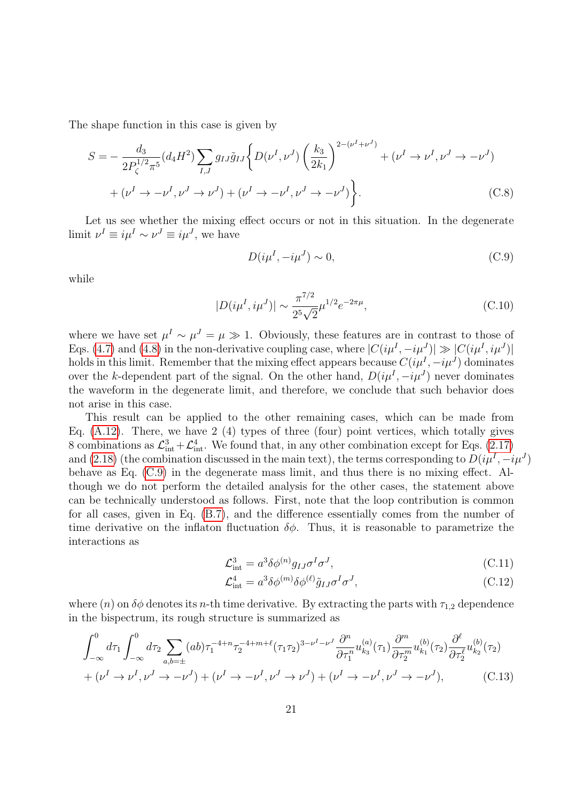The shape function in this case is given by

$$
S = -\frac{d_3}{2P_{\zeta}^{1/2}\pi^5} (d_4 H^2) \sum_{I,J} g_{IJ} \tilde{g}_{IJ} \left\{ D(\nu^I, \nu^J) \left( \frac{k_3}{2k_1} \right)^{2-(\nu^I + \nu^J)} + (\nu^I \to \nu^I, \nu^J \to -\nu^J) + (\nu^I \to -\nu^I, \nu^J \to -\nu^J) \right\}.
$$
 (C.8)

Let us see whether the mixing effect occurs or not in this situation. In the degenerate limit  $\nu^I \equiv i\mu^I \sim \nu^J \equiv i\mu^J$ , we have

<span id="page-21-0"></span>
$$
D(i\mu^I, -i\mu^J) \sim 0,\tag{C.9}
$$

while

$$
|D(i\mu^I, i\mu^J)| \sim \frac{\pi^{7/2}}{2^5 \sqrt{2}} \mu^{1/2} e^{-2\pi\mu},\tag{C.10}
$$

where we have set  $\mu^I \sim \mu^J = \mu \gg 1$ . Obviously, these features are in contrast to those of Eqs. [\(4.7\)](#page-8-5) and [\(4.8\)](#page-8-4) in the non-derivative coupling case, where  $|C(i\mu^I, -i\mu^J)| \gg |C(i\mu^I, i\mu^J)|$ holds in this limit. Remember that the mixing effect appears because  $C(i\mu^I, -i\mu^J)$  dominates over the k-dependent part of the signal. On the other hand,  $D(i\mu^I, -i\mu^J)$  never dominates the waveform in the degenerate limit, and therefore, we conclude that such behavior does not arise in this case.

This result can be applied to the other remaining cases, which can be made from Eq.  $(A.12)$ . There, we have 2  $(4)$  types of three (four) point vertices, which totally gives 8 combinations as  $\mathcal{L}^3_{int} + \mathcal{L}^4_{int}$ . We found that, in any other combination except for Eqs. [\(2.17\)](#page-5-2) and [\(2.18\)](#page-5-3) (the combination discussed in the main text), the terms corresponding to  $D(i\mu^I, -i\mu^J)$ behave as Eq. [\(C.9\)](#page-21-0) in the degenerate mass limit, and thus there is no mixing effect. Although we do not perform the detailed analysis for the other cases, the statement above can be technically understood as follows. First, note that the loop contribution is common for all cases, given in Eq. [\(B.7\)](#page-19-0), and the difference essentially comes from the number of time derivative on the inflaton fluctuation  $\delta\phi$ . Thus, it is reasonable to parametrize the interactions as

$$
\mathcal{L}_{\text{int}}^3 = a^3 \delta \phi^{(n)} g_{IJ} \sigma^I \sigma^J,\tag{C.11}
$$

<span id="page-21-1"></span>
$$
\mathcal{L}^4_{\text{int}} = a^3 \delta \phi^{(m)} \delta \phi^{(\ell)} \tilde{g}_{IJ} \sigma^I \sigma^J,\tag{C.12}
$$

where (n) on  $\delta\phi$  denotes its n-th time derivative. By extracting the parts with  $\tau_{1,2}$  dependence in the bispectrum, its rough structure is summarized as

$$
\int_{-\infty}^{0} d\tau_{1} \int_{-\infty}^{0} d\tau_{2} \sum_{a,b=\pm} (ab)\tau_{1}^{-4+n} \tau_{2}^{-4+m+\ell} (\tau_{1}\tau_{2})^{3-\nu^{I}-\nu^{J}} \frac{\partial^{n}}{\partial \tau_{1}^{n}} u_{k_{3}}^{(a)}(\tau_{1}) \frac{\partial^{m}}{\partial \tau_{2}^{m}} u_{k_{1}}^{(b)}(\tau_{2}) \frac{\partial^{\ell}}{\partial \tau_{2}^{\ell}} u_{k_{2}}^{(b)}(\tau_{2})
$$
  
+  $(\nu^{I} \to \nu^{I}, \nu^{J} \to -\nu^{J}) + (\nu^{I} \to -\nu^{I}, \nu^{J} \to \nu^{J}) + (\nu^{I} \to -\nu^{I}, \nu^{J} \to -\nu^{J}),$  (C.13)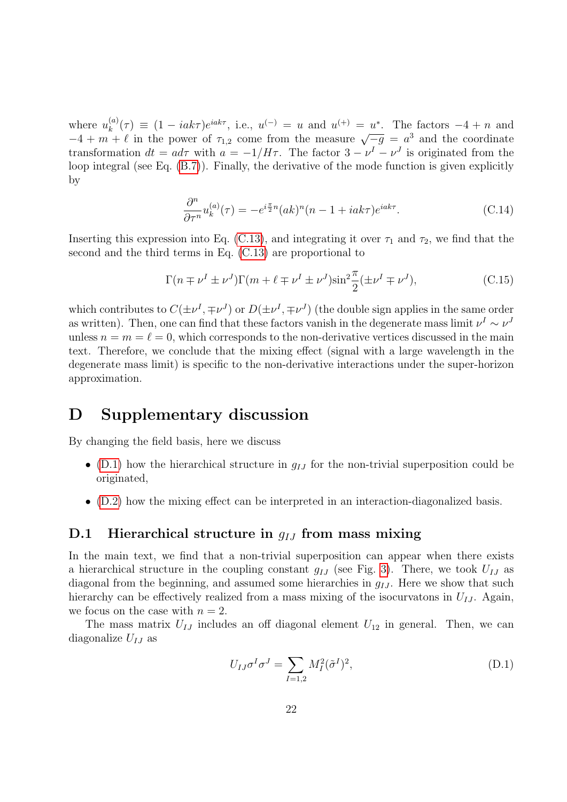where  $u_k^{(a)}$  $u_k^{(a)}(\tau) \equiv (1 - iak\tau)e^{iak\tau}$ , i.e.,  $u^{(-)} = u$  and  $u^{(+)} = u^*$ . The factors  $-4 + n$  and where  $a_k$  (*i*) = (1 -  $i a_{k,l}$ )e come from the measure  $\sqrt{-g} = a^3$  and the coordinate  $-4 + m + \ell$  in the power of  $\tau_{1,2}$  come from the measure  $\sqrt{-g} = a^3$  and the coordinate transformation  $dt = a d\tau$  with  $a = -1/H\tau$ . The factor  $3 - \nu^I - \nu^J$  is originated from the loop integral (see Eq. [\(B.7\)](#page-19-0)). Finally, the derivative of the mode function is given explicitly by

$$
\frac{\partial^n}{\partial \tau^n} u_k^{(a)}(\tau) = -e^{i\frac{\pi}{2}n} (ak)^n (n-1 + iak\tau) e^{iak\tau}.
$$
 (C.14)

Inserting this expression into Eq. [\(C.13\)](#page-21-1), and integrating it over  $\tau_1$  and  $\tau_2$ , we find that the second and the third terms in Eq. [\(C.13\)](#page-21-1) are proportional to

$$
\Gamma(n \mp \nu^I \pm \nu^J)\Gamma(m + \ell \mp \nu^I \pm \nu^J)\sin^2\frac{\pi}{2}(\pm \nu^I \mp \nu^J),\tag{C.15}
$$

which contributes to  $C(\pm\nu^I, \mp\nu^J)$  or  $D(\pm\nu^I, \mp\nu^J)$  (the double sign applies in the same order as written). Then, one can find that these factors vanish in the degenerate mass limit  $\nu^I \sim \nu^J$ unless  $n = m = \ell = 0$ , which corresponds to the non-derivative vertices discussed in the main text. Therefore, we conclude that the mixing effect (signal with a large wavelength in the degenerate mass limit) is specific to the non-derivative interactions under the super-horizon approximation.

## <span id="page-22-0"></span>D Supplementary discussion

By changing the field basis, here we discuss

- [\(D.1\)](#page-22-1) how the hierarchical structure in  $g_{IJ}$  for the non-trivial superposition could be originated,
- [\(D.2\)](#page-23-0) how the mixing effect can be interpreted in an interaction-diagonalized basis.

#### <span id="page-22-1"></span>D.1 Hierarchical structure in  $q_{IJ}$  from mass mixing

In the main text, we find that a non-trivial superposition can appear when there exists a hierarchical structure in the coupling constant  $g_{IJ}$  (see Fig. [3\)](#page-11-1). There, we took  $U_{IJ}$  as diagonal from the beginning, and assumed some hierarchies in  $q_{IJ}$ . Here we show that such hierarchy can be effectively realized from a mass mixing of the isocurvatons in  $U_{IJ}$ . Again, we focus on the case with  $n = 2$ .

The mass matrix  $U_{IJ}$  includes an off diagonal element  $U_{12}$  in general. Then, we can diagonalize  $U_{IJ}$  as

$$
U_{IJ}\sigma^I\sigma^J = \sum_{I=1,2} M_I^2 (\tilde{\sigma}^I)^2,
$$
\n(D.1)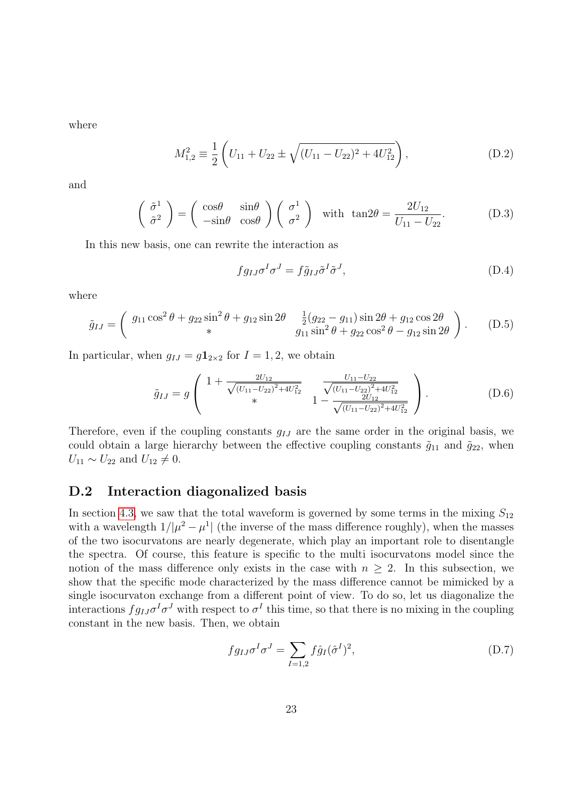where

$$
M_{1,2}^2 \equiv \frac{1}{2} \left( U_{11} + U_{22} \pm \sqrt{(U_{11} - U_{22})^2 + 4U_{12}^2} \right), \tag{D.2}
$$

and

$$
\begin{pmatrix} \tilde{\sigma}^1 \\ \tilde{\sigma}^2 \end{pmatrix} = \begin{pmatrix} \cos\theta & \sin\theta \\ -\sin\theta & \cos\theta \end{pmatrix} \begin{pmatrix} \sigma^1 \\ \sigma^2 \end{pmatrix} \text{ with } \tan 2\theta = \frac{2U_{12}}{U_{11} - U_{22}}.
$$
 (D.3)

In this new basis, one can rewrite the interaction as

$$
fg_{IJ}\sigma^I\sigma^J = f\tilde{g}_{IJ}\tilde{\sigma}^I\tilde{\sigma}^J,\tag{D.4}
$$

where

$$
\tilde{g}_{IJ} = \begin{pmatrix} g_{11} \cos^2 \theta + g_{22} \sin^2 \theta + g_{12} \sin 2\theta & \frac{1}{2} (g_{22} - g_{11}) \sin 2\theta + g_{12} \cos 2\theta \\ * & g_{11} \sin^2 \theta + g_{22} \cos^2 \theta - g_{12} \sin 2\theta \end{pmatrix}.
$$
 (D.5)

In particular, when  $g_{IJ} = g\mathbf{1}_{2\times2}$  for  $I = 1, 2$ , we obtain

$$
\tilde{g}_{IJ} = g \left( \begin{array}{ccc} 1 + \frac{2U_{12}}{\sqrt{(U_{11} - U_{22})^2 + 4U_{12}^2}} & \frac{U_{11} - U_{22}}{\sqrt{(U_{11} - U_{22})^2 + 4U_{12}^2}} \\ * & 1 - \frac{2U_{12}}{\sqrt{(U_{11} - U_{22})^2 + 4U_{12}^2}} \end{array} \right).
$$
 (D.6)

Therefore, even if the coupling constants  $q_{IJ}$  are the same order in the original basis, we could obtain a large hierarchy between the effective coupling constants  $\tilde{g}_{11}$  and  $\tilde{g}_{22}$ , when  $U_{11} \sim U_{22}$  and  $U_{12} \neq 0$ .

### <span id="page-23-0"></span>D.2 Interaction diagonalized basis

In section [4.3,](#page-11-0) we saw that the total waveform is governed by some terms in the mixing  $S_{12}$ with a wavelength  $1/|\mu^2 - \mu^1|$  (the inverse of the mass difference roughly), when the masses of the two isocurvatons are nearly degenerate, which play an important role to disentangle the spectra. Of course, this feature is specific to the multi isocurvatons model since the notion of the mass difference only exists in the case with  $n > 2$ . In this subsection, we show that the specific mode characterized by the mass difference cannot be mimicked by a single isocurvaton exchange from a different point of view. To do so, let us diagonalize the interactions  $fg_{IJ}\sigma^I\sigma^J$  with respect to  $\sigma^I$  this time, so that there is no mixing in the coupling constant in the new basis. Then, we obtain

<span id="page-23-1"></span>
$$
fg_{IJ}\sigma^I\sigma^J = \sum_{I=1,2} f\hat{g}_I(\hat{\sigma}^I)^2,
$$
\n(D.7)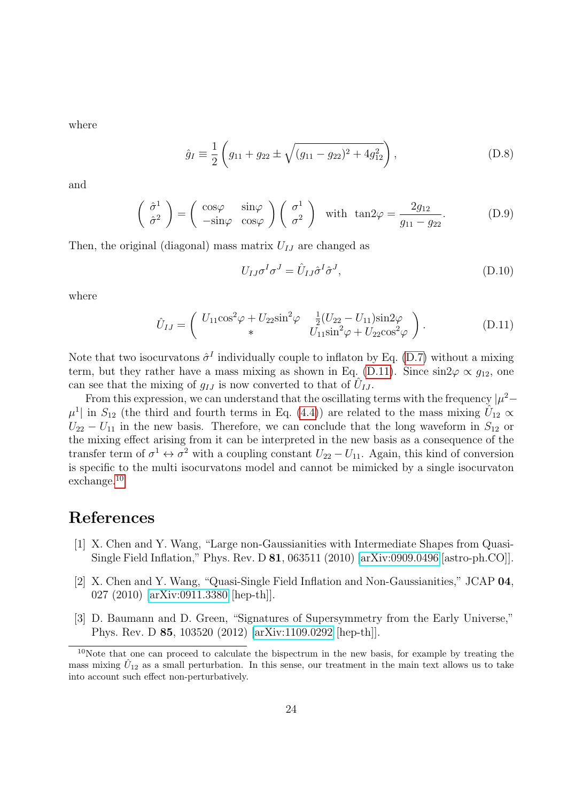where

$$
\hat{g}_I \equiv \frac{1}{2} \left( g_{11} + g_{22} \pm \sqrt{(g_{11} - g_{22})^2 + 4g_{12}^2} \right), \tag{D.8}
$$

and

$$
\begin{pmatrix} \hat{\sigma}^1 \\ \hat{\sigma}^2 \end{pmatrix} = \begin{pmatrix} \cos\varphi & \sin\varphi \\ -\sin\varphi & \cos\varphi \end{pmatrix} \begin{pmatrix} \sigma^1 \\ \sigma^2 \end{pmatrix} \text{ with } \tan 2\varphi = \frac{2g_{12}}{g_{11} - g_{22}}. \tag{D.9}
$$

Then, the original (diagonal) mass matrix  $U_{IJ}$  are changed as

<span id="page-24-1"></span>
$$
U_{IJ}\sigma^I\sigma^J = \hat{U}_{IJ}\hat{\sigma}^I\hat{\sigma}^J,\tag{D.10}
$$

where

$$
\hat{U}_{IJ} = \begin{pmatrix} U_{11} \cos^2 \varphi + U_{22} \sin^2 \varphi & \frac{1}{2} (U_{22} - U_{11}) \sin 2\varphi \\ * & U_{11} \sin^2 \varphi + U_{22} \cos^2 \varphi \end{pmatrix}.
$$
 (D.11)

Note that two isocurvatons  $\hat{\sigma}^I$  individually couple to inflaton by Eq. [\(D.7\)](#page-23-1) without a mixing term, but they rather have a mass mixing as shown in Eq. [\(D.11\)](#page-24-1). Since  $\sin 2\varphi \propto q_{12}$ , one can see that the mixing of  $g_{IJ}$  is now converted to that of  $\hat{U}_{IJ}$ .

From this expression, we can understand that the oscillating terms with the frequency  $|\mu^2 \mu^1$  in  $S_{12}$  (the third and fourth terms in Eq. [\(4.4\)](#page-7-2)) are related to the mass mixing  $\hat{U}_{12} \propto$  $U_{22} - U_{11}$  in the new basis. Therefore, we can conclude that the long waveform in  $S_{12}$  or the mixing effect arising from it can be interpreted in the new basis as a consequence of the transfer term of  $\sigma^1 \leftrightarrow \sigma^2$  with a coupling constant  $U_{22} - U_{11}$ . Again, this kind of conversion is specific to the multi isocurvatons model and cannot be mimicked by a single isocurvaton exchange.[10](#page-24-2)

### References

- <span id="page-24-0"></span>[1] X. Chen and Y. Wang, "Large non-Gaussianities with Intermediate Shapes from Quasi-Single Field Inflation," Phys. Rev. D 81, 063511 (2010) [\[arXiv:0909.0496](http://arxiv.org/abs/0909.0496) [astro-ph.CO]].
- [2] X. Chen and Y. Wang, "Quasi-Single Field Inflation and Non-Gaussianities," JCAP 04, 027 (2010) [\[arXiv:0911.3380](http://arxiv.org/abs/0911.3380) [hep-th]].
- [3] D. Baumann and D. Green, "Signatures of Supersymmetry from the Early Universe," Phys. Rev. D 85, 103520 (2012) [\[arXiv:1109.0292](http://arxiv.org/abs/1109.0292) [hep-th]].

<span id="page-24-2"></span> $10$ Note that one can proceed to calculate the bispectrum in the new basis, for example by treating the mass mixing  $\hat{U}_{12}$  as a small perturbation. In this sense, our treatment in the main text allows us to take into account such effect non-perturbatively.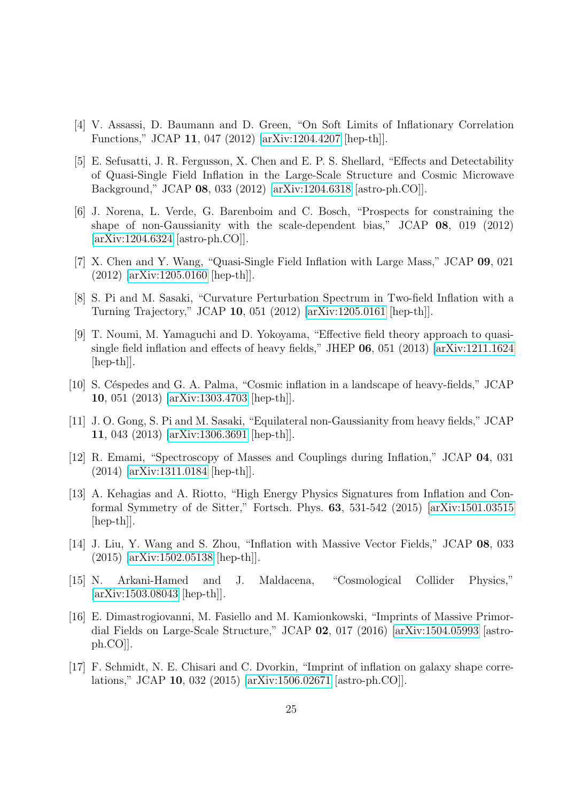- [4] V. Assassi, D. Baumann and D. Green, "On Soft Limits of Inflationary Correlation Functions," JCAP 11, 047 (2012) [\[arXiv:1204.4207](http://arxiv.org/abs/1204.4207) [hep-th]].
- [5] E. Sefusatti, J. R. Fergusson, X. Chen and E. P. S. Shellard, "Effects and Detectability of Quasi-Single Field Inflation in the Large-Scale Structure and Cosmic Microwave Background," JCAP 08, 033 (2012) [\[arXiv:1204.6318](http://arxiv.org/abs/1204.6318) [astro-ph.CO]].
- [6] J. Norena, L. Verde, G. Barenboim and C. Bosch, "Prospects for constraining the shape of non-Gaussianity with the scale-dependent bias," JCAP 08, 019 (2012) [\[arXiv:1204.6324](http://arxiv.org/abs/1204.6324) [astro-ph.CO]].
- [7] X. Chen and Y. Wang, "Quasi-Single Field Inflation with Large Mass," JCAP 09, 021 (2012) [\[arXiv:1205.0160](http://arxiv.org/abs/1205.0160) [hep-th]].
- [8] S. Pi and M. Sasaki, "Curvature Perturbation Spectrum in Two-field Inflation with a Turning Trajectory," JCAP 10, 051 (2012) [\[arXiv:1205.0161](http://arxiv.org/abs/1205.0161) [hep-th]].
- [9] T. Noumi, M. Yamaguchi and D. Yokoyama, "Effective field theory approach to quasisingle field inflation and effects of heavy fields," JHEP 06, 051 (2013) [\[arXiv:1211.1624](http://arxiv.org/abs/1211.1624) [hep-th]].
- [10] S. C´espedes and G. A. Palma, "Cosmic inflation in a landscape of heavy-fields," JCAP 10, 051 (2013) [\[arXiv:1303.4703](http://arxiv.org/abs/1303.4703) [hep-th]].
- [11] J. O. Gong, S. Pi and M. Sasaki, "Equilateral non-Gaussianity from heavy fields," JCAP 11, 043 (2013) [\[arXiv:1306.3691](http://arxiv.org/abs/1306.3691) [hep-th]].
- [12] R. Emami, "Spectroscopy of Masses and Couplings during Inflation," JCAP 04, 031 (2014) [\[arXiv:1311.0184](http://arxiv.org/abs/1311.0184) [hep-th]].
- [13] A. Kehagias and A. Riotto, "High Energy Physics Signatures from Inflation and Conformal Symmetry of de Sitter," Fortsch. Phys. 63, 531-542 (2015) [\[arXiv:1501.03515](http://arxiv.org/abs/1501.03515) [hep-th]].
- [14] J. Liu, Y. Wang and S. Zhou, "Inflation with Massive Vector Fields," JCAP 08, 033 (2015) [\[arXiv:1502.05138](http://arxiv.org/abs/1502.05138) [hep-th]].
- [15] N. Arkani-Hamed and J. Maldacena, "Cosmological Collider Physics," [\[arXiv:1503.08043](http://arxiv.org/abs/1503.08043) [hep-th]].
- [16] E. Dimastrogiovanni, M. Fasiello and M. Kamionkowski, "Imprints of Massive Primordial Fields on Large-Scale Structure," JCAP 02, 017 (2016) [\[arXiv:1504.05993](http://arxiv.org/abs/1504.05993) [astroph.CO]].
- [17] F. Schmidt, N. E. Chisari and C. Dvorkin, "Imprint of inflation on galaxy shape correlations," JCAP 10, 032 (2015) [\[arXiv:1506.02671](http://arxiv.org/abs/1506.02671) [astro-ph.CO]].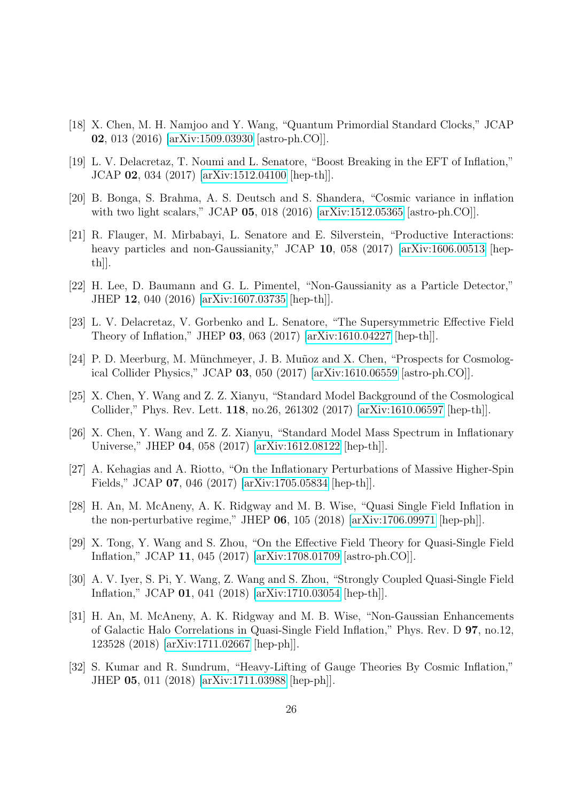- <span id="page-26-2"></span>[18] X. Chen, M. H. Namjoo and Y. Wang, "Quantum Primordial Standard Clocks," JCAP 02, 013 (2016) [\[arXiv:1509.03930](http://arxiv.org/abs/1509.03930) [astro-ph.CO]].
- [19] L. V. Delacretaz, T. Noumi and L. Senatore, "Boost Breaking in the EFT of Inflation," JCAP 02, 034 (2017) [\[arXiv:1512.04100](http://arxiv.org/abs/1512.04100) [hep-th]].
- [20] B. Bonga, S. Brahma, A. S. Deutsch and S. Shandera, "Cosmic variance in inflation with two light scalars," JCAP **05**, 018 (2016) [\[arXiv:1512.05365](http://arxiv.org/abs/1512.05365) [astro-ph.CO]].
- [21] R. Flauger, M. Mirbabayi, L. Senatore and E. Silverstein, "Productive Interactions: heavy particles and non-Gaussianity," JCAP 10, 058 (2017) [\[arXiv:1606.00513](http://arxiv.org/abs/1606.00513) [hepth]].
- [22] H. Lee, D. Baumann and G. L. Pimentel, "Non-Gaussianity as a Particle Detector," JHEP 12, 040 (2016) [\[arXiv:1607.03735](http://arxiv.org/abs/1607.03735) [hep-th]].
- [23] L. V. Delacretaz, V. Gorbenko and L. Senatore, "The Supersymmetric Effective Field Theory of Inflation," JHEP 03, 063 (2017) [\[arXiv:1610.04227](http://arxiv.org/abs/1610.04227) [hep-th]].
- [24] P. D. Meerburg, M. Münchmeyer, J. B. Muñoz and X. Chen, "Prospects for Cosmological Collider Physics," JCAP 03, 050 (2017) [\[arXiv:1610.06559](http://arxiv.org/abs/1610.06559) [astro-ph.CO]].
- <span id="page-26-0"></span>[25] X. Chen, Y. Wang and Z. Z. Xianyu, "Standard Model Background of the Cosmological Collider," Phys. Rev. Lett. 118, no.26, 261302 (2017) [\[arXiv:1610.06597](http://arxiv.org/abs/1610.06597) [hep-th]].
- <span id="page-26-1"></span>[26] X. Chen, Y. Wang and Z. Z. Xianyu, "Standard Model Mass Spectrum in Inflationary Universe," JHEP 04, 058 (2017) [\[arXiv:1612.08122](http://arxiv.org/abs/1612.08122) [hep-th]].
- [27] A. Kehagias and A. Riotto, "On the Inflationary Perturbations of Massive Higher-Spin Fields," JCAP 07, 046 (2017) [\[arXiv:1705.05834](http://arxiv.org/abs/1705.05834) [hep-th]].
- [28] H. An, M. McAneny, A. K. Ridgway and M. B. Wise, "Quasi Single Field Inflation in the non-perturbative regime," JHEP 06, 105 (2018) [\[arXiv:1706.09971](http://arxiv.org/abs/1706.09971) [hep-ph]].
- [29] X. Tong, Y. Wang and S. Zhou, "On the Effective Field Theory for Quasi-Single Field Inflation," JCAP 11, 045 (2017) [\[arXiv:1708.01709](http://arxiv.org/abs/1708.01709) [astro-ph.CO]].
- [30] A. V. Iyer, S. Pi, Y. Wang, Z. Wang and S. Zhou, "Strongly Coupled Quasi-Single Field Inflation," JCAP 01, 041 (2018) [\[arXiv:1710.03054](http://arxiv.org/abs/1710.03054) [hep-th]].
- [31] H. An, M. McAneny, A. K. Ridgway and M. B. Wise, "Non-Gaussian Enhancements of Galactic Halo Correlations in Quasi-Single Field Inflation," Phys. Rev. D 97, no.12, 123528 (2018) [\[arXiv:1711.02667](http://arxiv.org/abs/1711.02667) [hep-ph]].
- [32] S. Kumar and R. Sundrum, "Heavy-Lifting of Gauge Theories By Cosmic Inflation," JHEP 05, 011 (2018) [\[arXiv:1711.03988](http://arxiv.org/abs/1711.03988) [hep-ph]].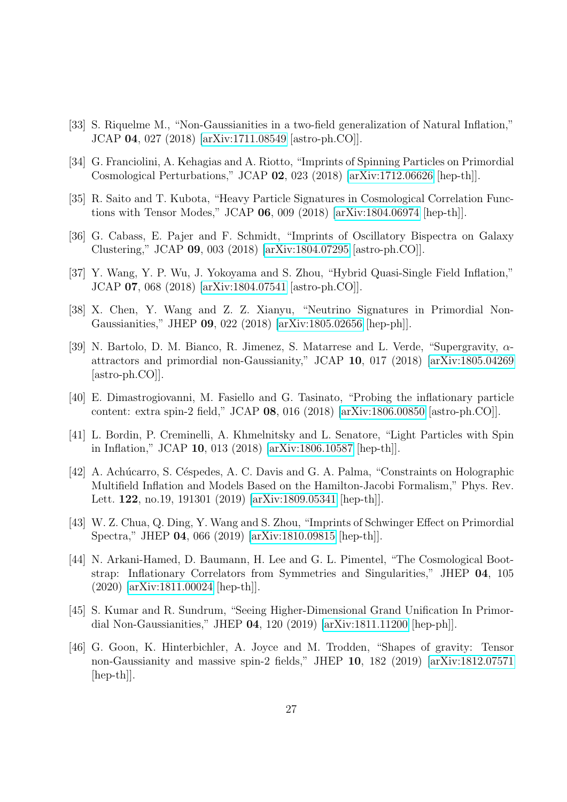- [33] S. Riquelme M., "Non-Gaussianities in a two-field generalization of Natural Inflation," JCAP 04, 027 (2018) [\[arXiv:1711.08549](http://arxiv.org/abs/1711.08549) [astro-ph.CO]].
- [34] G. Franciolini, A. Kehagias and A. Riotto, "Imprints of Spinning Particles on Primordial Cosmological Perturbations," JCAP 02, 023 (2018) [\[arXiv:1712.06626](http://arxiv.org/abs/1712.06626) [hep-th]].
- [35] R. Saito and T. Kubota, "Heavy Particle Signatures in Cosmological Correlation Functions with Tensor Modes," JCAP 06, 009 (2018) [\[arXiv:1804.06974](http://arxiv.org/abs/1804.06974) [hep-th]].
- [36] G. Cabass, E. Pajer and F. Schmidt, "Imprints of Oscillatory Bispectra on Galaxy Clustering," JCAP 09, 003 (2018) [\[arXiv:1804.07295](http://arxiv.org/abs/1804.07295) [astro-ph.CO]].
- [37] Y. Wang, Y. P. Wu, J. Yokoyama and S. Zhou, "Hybrid Quasi-Single Field Inflation," JCAP 07, 068 (2018) [\[arXiv:1804.07541](http://arxiv.org/abs/1804.07541) [astro-ph.CO]].
- <span id="page-27-0"></span>[38] X. Chen, Y. Wang and Z. Z. Xianyu, "Neutrino Signatures in Primordial Non-Gaussianities," JHEP 09, 022 (2018) [\[arXiv:1805.02656](http://arxiv.org/abs/1805.02656) [hep-ph]].
- <span id="page-27-1"></span>[39] N. Bartolo, D. M. Bianco, R. Jimenez, S. Matarrese and L. Verde, "Supergravity, αattractors and primordial non-Gaussianity," JCAP 10, 017 (2018) [\[arXiv:1805.04269](http://arxiv.org/abs/1805.04269) [astro-ph.CO]].
- [40] E. Dimastrogiovanni, M. Fasiello and G. Tasinato, "Probing the inflationary particle content: extra spin-2 field," JCAP 08, 016 (2018) [\[arXiv:1806.00850](http://arxiv.org/abs/1806.00850) [astro-ph.CO]].
- [41] L. Bordin, P. Creminelli, A. Khmelnitsky and L. Senatore, "Light Particles with Spin in Inflation," JCAP 10, 013 (2018) [\[arXiv:1806.10587](http://arxiv.org/abs/1806.10587) [hep-th]].
- [42] A. Achúcarro, S. Céspedes, A. C. Davis and G. A. Palma, "Constraints on Holographic Multifield Inflation and Models Based on the Hamilton-Jacobi Formalism," Phys. Rev. Lett. 122, no.19, 191301 (2019) [\[arXiv:1809.05341](http://arxiv.org/abs/1809.05341) [hep-th]].
- [43] W. Z. Chua, Q. Ding, Y. Wang and S. Zhou, "Imprints of Schwinger Effect on Primordial Spectra," JHEP 04, 066 (2019) [\[arXiv:1810.09815](http://arxiv.org/abs/1810.09815) [hep-th]].
- [44] N. Arkani-Hamed, D. Baumann, H. Lee and G. L. Pimentel, "The Cosmological Bootstrap: Inflationary Correlators from Symmetries and Singularities," JHEP 04, 105 (2020) [\[arXiv:1811.00024](http://arxiv.org/abs/1811.00024) [hep-th]].
- [45] S. Kumar and R. Sundrum, "Seeing Higher-Dimensional Grand Unification In Primordial Non-Gaussianities," JHEP 04, 120 (2019) [\[arXiv:1811.11200](http://arxiv.org/abs/1811.11200) [hep-ph]].
- [46] G. Goon, K. Hinterbichler, A. Joyce and M. Trodden, "Shapes of gravity: Tensor non-Gaussianity and massive spin-2 fields," JHEP 10, 182 (2019) [\[arXiv:1812.07571](http://arxiv.org/abs/1812.07571) [hep-th]].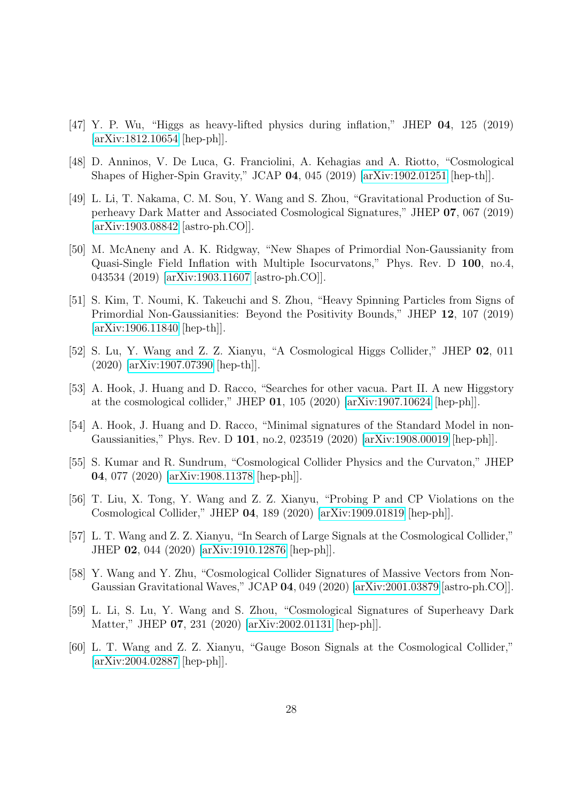- [47] Y. P. Wu, "Higgs as heavy-lifted physics during inflation," JHEP 04, 125 (2019) [\[arXiv:1812.10654](http://arxiv.org/abs/1812.10654) [hep-ph]].
- [48] D. Anninos, V. De Luca, G. Franciolini, A. Kehagias and A. Riotto, "Cosmological Shapes of Higher-Spin Gravity," JCAP 04, 045 (2019) [\[arXiv:1902.01251](http://arxiv.org/abs/1902.01251) [hep-th]].
- [49] L. Li, T. Nakama, C. M. Sou, Y. Wang and S. Zhou, "Gravitational Production of Superheavy Dark Matter and Associated Cosmological Signatures," JHEP 07, 067 (2019) [\[arXiv:1903.08842](http://arxiv.org/abs/1903.08842) [astro-ph.CO]].
- [50] M. McAneny and A. K. Ridgway, "New Shapes of Primordial Non-Gaussianity from Quasi-Single Field Inflation with Multiple Isocurvatons," Phys. Rev. D 100, no.4, 043534 (2019) [\[arXiv:1903.11607](http://arxiv.org/abs/1903.11607) [astro-ph.CO]].
- [51] S. Kim, T. Noumi, K. Takeuchi and S. Zhou, "Heavy Spinning Particles from Signs of Primordial Non-Gaussianities: Beyond the Positivity Bounds," JHEP 12, 107 (2019) [\[arXiv:1906.11840](http://arxiv.org/abs/1906.11840) [hep-th]].
- [52] S. Lu, Y. Wang and Z. Z. Xianyu, "A Cosmological Higgs Collider," JHEP 02, 011 (2020) [\[arXiv:1907.07390](http://arxiv.org/abs/1907.07390) [hep-th]].
- [53] A. Hook, J. Huang and D. Racco, "Searches for other vacua. Part II. A new Higgstory at the cosmological collider," JHEP 01, 105 (2020) [\[arXiv:1907.10624](http://arxiv.org/abs/1907.10624) [hep-ph]].
- [54] A. Hook, J. Huang and D. Racco, "Minimal signatures of the Standard Model in non-Gaussianities," Phys. Rev. D 101, no.2, 023519 (2020) [\[arXiv:1908.00019](http://arxiv.org/abs/1908.00019) [hep-ph]].
- [55] S. Kumar and R. Sundrum, "Cosmological Collider Physics and the Curvaton," JHEP 04, 077 (2020) [\[arXiv:1908.11378](http://arxiv.org/abs/1908.11378) [hep-ph]].
- [56] T. Liu, X. Tong, Y. Wang and Z. Z. Xianyu, "Probing P and CP Violations on the Cosmological Collider," JHEP 04, 189 (2020) [\[arXiv:1909.01819](http://arxiv.org/abs/1909.01819) [hep-ph]].
- <span id="page-28-0"></span>[57] L. T. Wang and Z. Z. Xianyu, "In Search of Large Signals at the Cosmological Collider," JHEP 02, 044 (2020) [\[arXiv:1910.12876](http://arxiv.org/abs/1910.12876) [hep-ph]].
- [58] Y. Wang and Y. Zhu, "Cosmological Collider Signatures of Massive Vectors from Non-Gaussian Gravitational Waves," JCAP 04, 049 (2020) [\[arXiv:2001.03879](http://arxiv.org/abs/2001.03879) [astro-ph.CO]].
- [59] L. Li, S. Lu, Y. Wang and S. Zhou, "Cosmological Signatures of Superheavy Dark Matter," JHEP 07, 231 (2020) [\[arXiv:2002.01131](http://arxiv.org/abs/2002.01131) [hep-ph]].
- <span id="page-28-1"></span>[60] L. T. Wang and Z. Z. Xianyu, "Gauge Boson Signals at the Cosmological Collider," [\[arXiv:2004.02887](http://arxiv.org/abs/2004.02887) [hep-ph]].